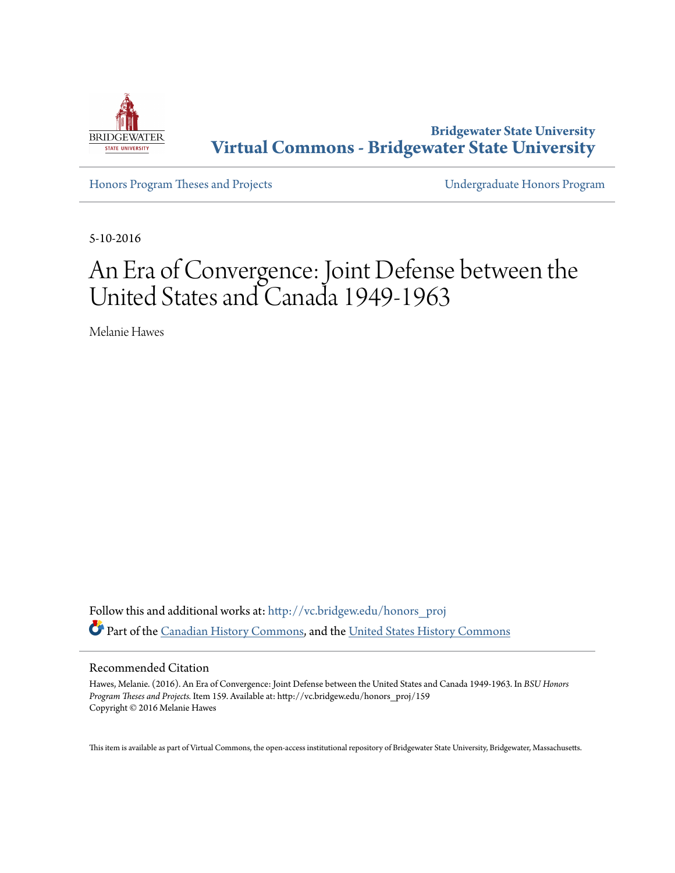

**Bridgewater State University [Virtual Commons - Bridgewater State University](http://vc.bridgew.edu?utm_source=vc.bridgew.edu%2Fhonors_proj%2F159&utm_medium=PDF&utm_campaign=PDFCoverPages)**

[Honors Program Theses and Projects](http://vc.bridgew.edu/honors_proj?utm_source=vc.bridgew.edu%2Fhonors_proj%2F159&utm_medium=PDF&utm_campaign=PDFCoverPages) [Undergraduate Honors Program](http://vc.bridgew.edu/honors?utm_source=vc.bridgew.edu%2Fhonors_proj%2F159&utm_medium=PDF&utm_campaign=PDFCoverPages)

5-10-2016

# An Era of Convergence: Joint Defense between the United States and Canada 1949-1963

Melanie Hawes

Follow this and additional works at: [http://vc.bridgew.edu/honors\\_proj](http://vc.bridgew.edu/honors_proj?utm_source=vc.bridgew.edu%2Fhonors_proj%2F159&utm_medium=PDF&utm_campaign=PDFCoverPages) Part of the [Canadian History Commons,](http://network.bepress.com/hgg/discipline/1358?utm_source=vc.bridgew.edu%2Fhonors_proj%2F159&utm_medium=PDF&utm_campaign=PDFCoverPages) and the [United States History Commons](http://network.bepress.com/hgg/discipline/495?utm_source=vc.bridgew.edu%2Fhonors_proj%2F159&utm_medium=PDF&utm_campaign=PDFCoverPages)

#### Recommended Citation

Hawes, Melanie. (2016). An Era of Convergence: Joint Defense between the United States and Canada 1949-1963. In *BSU Honors Program Theses and Projects.* Item 159. Available at: http://vc.bridgew.edu/honors\_proj/159 Copyright © 2016 Melanie Hawes

This item is available as part of Virtual Commons, the open-access institutional repository of Bridgewater State University, Bridgewater, Massachusetts.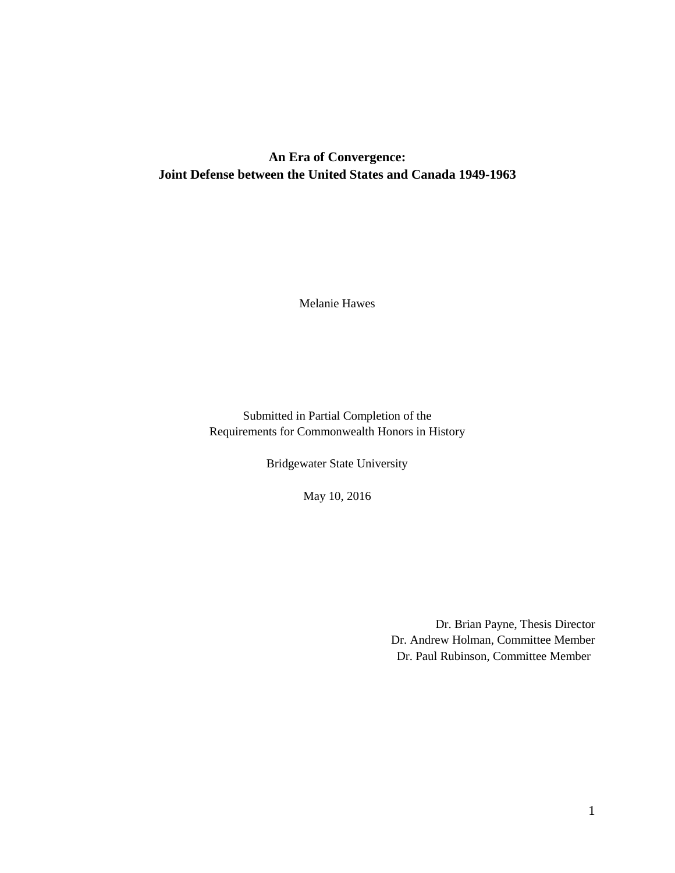## **An Era of Convergence: Joint Defense between the United States and Canada 1949-1963**

Melanie Hawes

Submitted in Partial Completion of the Requirements for Commonwealth Honors in History

Bridgewater State University

May 10, 2016

Dr. Brian Payne, Thesis Director Dr. Andrew Holman, Committee Member Dr. Paul Rubinson, Committee Member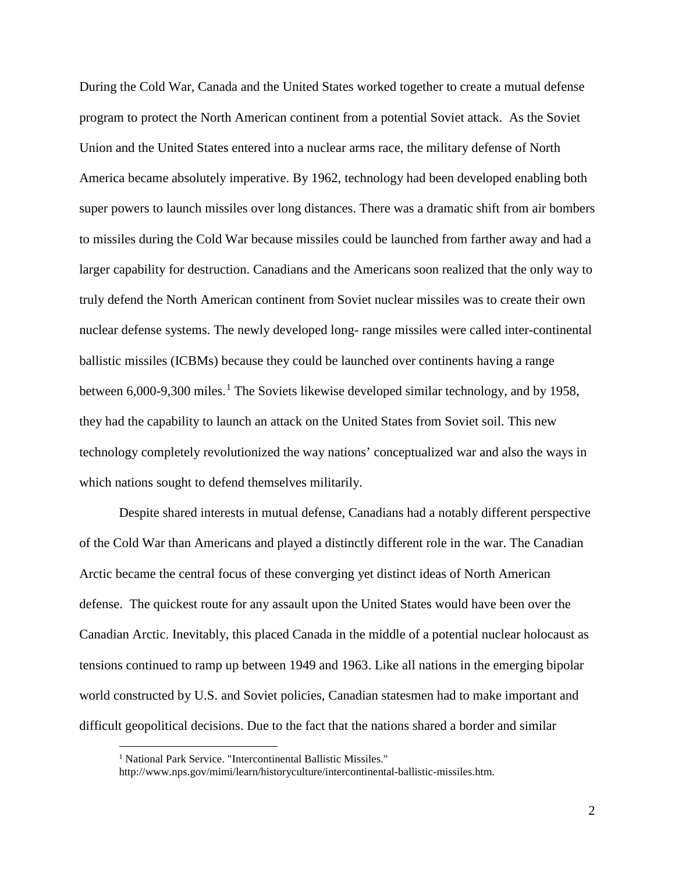During the Cold War, Canada and the United States worked together to create a mutual defense program to protect the North American continent from a potential Soviet attack. As the Soviet Union and the United States entered into a nuclear arms race, the military defense of North America became absolutely imperative. By 1962, technology had been developed enabling both super powers to launch missiles over long distances. There was a dramatic shift from air bombers to missiles during the Cold War because missiles could be launched from farther away and had a larger capability for destruction. Canadians and the Americans soon realized that the only way to truly defend the North American continent from Soviet nuclear missiles was to create their own nuclear defense systems. The newly developed long- range missiles were called inter-continental ballistic missiles (ICBMs) because they could be launched over continents having a range between  $6,000$ -9,300 miles.<sup>[1](#page-2-0)</sup> The Soviets likewise developed similar technology, and by 1958, they had the capability to launch an attack on the United States from Soviet soil. This new technology completely revolutionized the way nations' conceptualized war and also the ways in which nations sought to defend themselves militarily.

Despite shared interests in mutual defense, Canadians had a notably different perspective of the Cold War than Americans and played a distinctly different role in the war. The Canadian Arctic became the central focus of these converging yet distinct ideas of North American defense. The quickest route for any assault upon the United States would have been over the Canadian Arctic. Inevitably, this placed Canada in the middle of a potential nuclear holocaust as tensions continued to ramp up between 1949 and 1963. Like all nations in the emerging bipolar world constructed by U.S. and Soviet policies, Canadian statesmen had to make important and difficult geopolitical decisions. Due to the fact that the nations shared a border and similar

<sup>&</sup>lt;sup>1</sup> National Park Service. "Intercontinental Ballistic Missiles."

<span id="page-2-0"></span>http://www.nps.gov/mimi/learn/historyculture/intercontinental-ballistic-missiles.htm.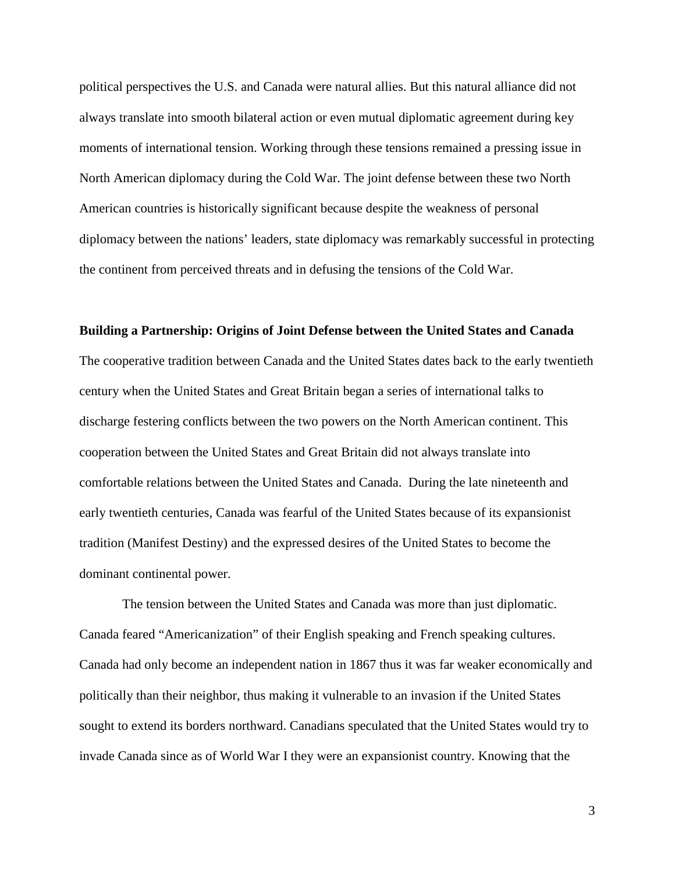political perspectives the U.S. and Canada were natural allies. But this natural alliance did not always translate into smooth bilateral action or even mutual diplomatic agreement during key moments of international tension. Working through these tensions remained a pressing issue in North American diplomacy during the Cold War. The joint defense between these two North American countries is historically significant because despite the weakness of personal diplomacy between the nations' leaders, state diplomacy was remarkably successful in protecting the continent from perceived threats and in defusing the tensions of the Cold War.

#### **Building a Partnership: Origins of Joint Defense between the United States and Canada**

The cooperative tradition between Canada and the United States dates back to the early twentieth century when the United States and Great Britain began a series of international talks to discharge festering conflicts between the two powers on the North American continent. This cooperation between the United States and Great Britain did not always translate into comfortable relations between the United States and Canada. During the late nineteenth and early twentieth centuries, Canada was fearful of the United States because of its expansionist tradition (Manifest Destiny) and the expressed desires of the United States to become the dominant continental power.

The tension between the United States and Canada was more than just diplomatic. Canada feared "Americanization" of their English speaking and French speaking cultures. Canada had only become an independent nation in 1867 thus it was far weaker economically and politically than their neighbor, thus making it vulnerable to an invasion if the United States sought to extend its borders northward. Canadians speculated that the United States would try to invade Canada since as of World War I they were an expansionist country. Knowing that the

3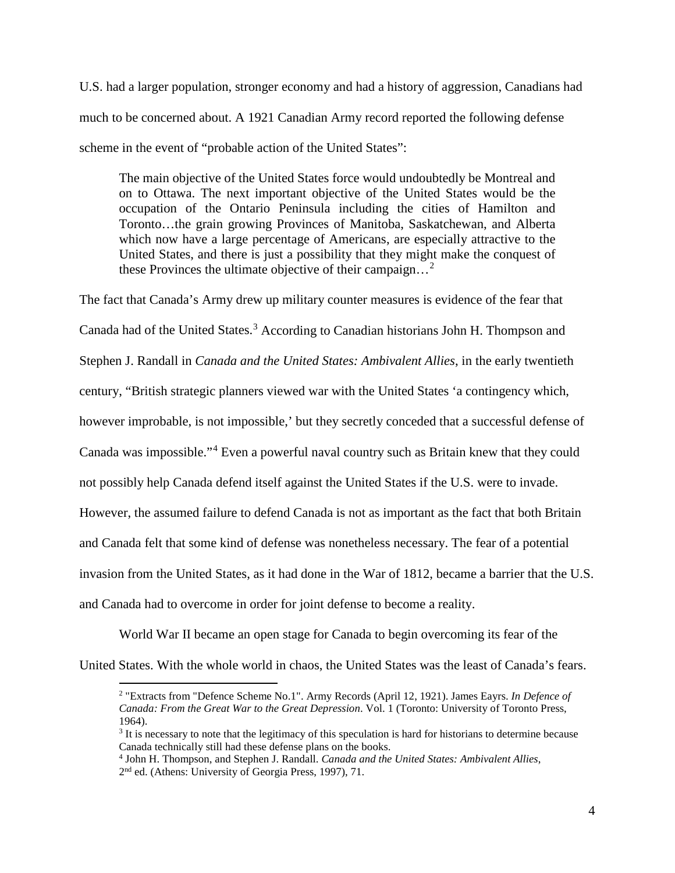U.S. had a larger population, stronger economy and had a history of aggression, Canadians had much to be concerned about. A 1921 Canadian Army record reported the following defense scheme in the event of "probable action of the United States":

The main objective of the United States force would undoubtedly be Montreal and on to Ottawa. The next important objective of the United States would be the occupation of the Ontario Peninsula including the cities of Hamilton and Toronto…the grain growing Provinces of Manitoba, Saskatchewan, and Alberta which now have a large percentage of Americans, are especially attractive to the United States, and there is just a possibility that they might make the conquest of these Provinces the ultimate objective of their campaign...<sup>[2](#page-4-0)</sup>

The fact that Canada's Army drew up military counter measures is evidence of the fear that Canada had of the United States.<sup>[3](#page-4-1)</sup> According to Canadian historians John H. Thompson and Stephen J. Randall in *Canada and the United States: Ambivalent Allies*, in the early twentieth century, "British strategic planners viewed war with the United States 'a contingency which, however improbable, is not impossible,' but they secretly conceded that a successful defense of Canada was impossible."[4](#page-4-2) Even a powerful naval country such as Britain knew that they could not possibly help Canada defend itself against the United States if the U.S. were to invade. However, the assumed failure to defend Canada is not as important as the fact that both Britain and Canada felt that some kind of defense was nonetheless necessary. The fear of a potential invasion from the United States, as it had done in the War of 1812, became a barrier that the U.S. and Canada had to overcome in order for joint defense to become a reality.

World War II became an open stage for Canada to begin overcoming its fear of the

<span id="page-4-1"></span><span id="page-4-0"></span>United States. With the whole world in chaos, the United States was the least of Canada's fears.

 <sup>2</sup> "Extracts from "Defence Scheme No.1". Army Records (April 12, 1921). James Eayrs. *In Defence of Canada: From the Great War to the Great Depression*. Vol. 1 (Toronto: University of Toronto Press, 1964).

<sup>&</sup>lt;sup>3</sup> It is necessary to note that the legitimacy of this speculation is hard for historians to determine because Canada technically still had these defense plans on the books.

<span id="page-4-2"></span><sup>4</sup> John H. Thompson, and Stephen J. Randall. *Canada and the United States: Ambivalent Allies*, 2nd ed. (Athens: University of Georgia Press, 1997), 71.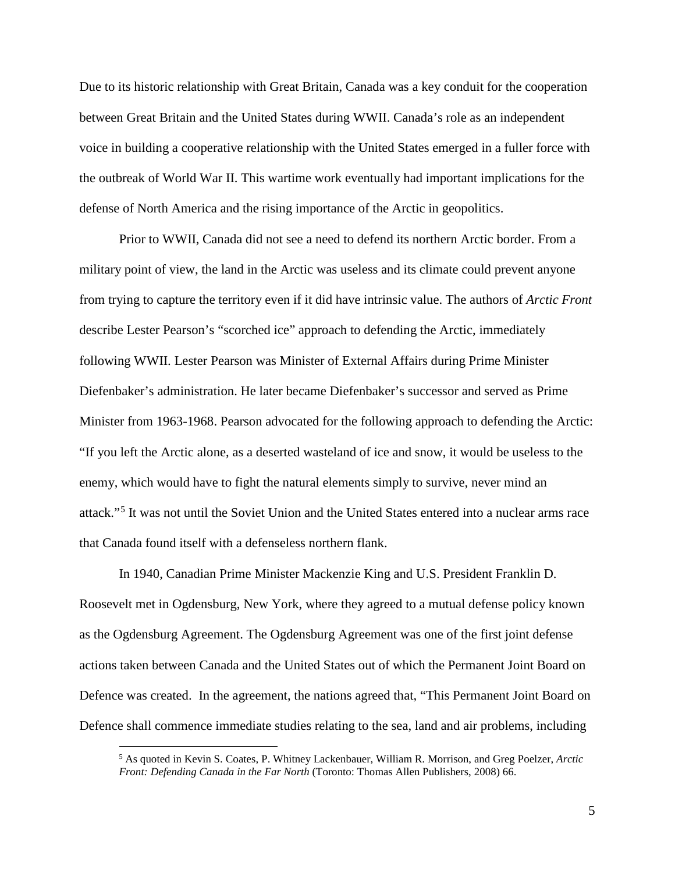Due to its historic relationship with Great Britain, Canada was a key conduit for the cooperation between Great Britain and the United States during WWII. Canada's role as an independent voice in building a cooperative relationship with the United States emerged in a fuller force with the outbreak of World War II. This wartime work eventually had important implications for the defense of North America and the rising importance of the Arctic in geopolitics.

Prior to WWII, Canada did not see a need to defend its northern Arctic border. From a military point of view, the land in the Arctic was useless and its climate could prevent anyone from trying to capture the territory even if it did have intrinsic value. The authors of *Arctic Front* describe Lester Pearson's "scorched ice" approach to defending the Arctic, immediately following WWII. Lester Pearson was Minister of External Affairs during Prime Minister Diefenbaker's administration. He later became Diefenbaker's successor and served as Prime Minister from 1963-1968. Pearson advocated for the following approach to defending the Arctic: "If you left the Arctic alone, as a deserted wasteland of ice and snow, it would be useless to the enemy, which would have to fight the natural elements simply to survive, never mind an attack."[5](#page-5-0) It was not until the Soviet Union and the United States entered into a nuclear arms race that Canada found itself with a defenseless northern flank.

In 1940, Canadian Prime Minister Mackenzie King and U.S. President Franklin D. Roosevelt met in Ogdensburg, New York, where they agreed to a mutual defense policy known as the Ogdensburg Agreement. The Ogdensburg Agreement was one of the first joint defense actions taken between Canada and the United States out of which the Permanent Joint Board on Defence was created. In the agreement, the nations agreed that, "This Permanent Joint Board on Defence shall commence immediate studies relating to the sea, land and air problems, including

<span id="page-5-0"></span> <sup>5</sup> As quoted in Kevin S. Coates, P. Whitney Lackenbauer, William R. Morrison, and Greg Poelzer, *Arctic Front: Defending Canada in the Far North* (Toronto: Thomas Allen Publishers, 2008) 66.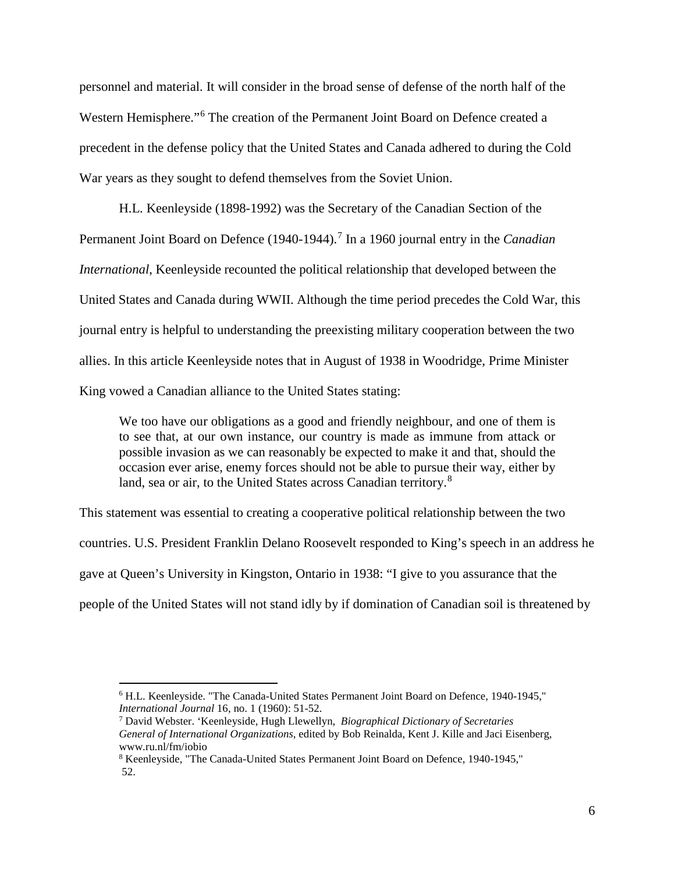personnel and material. It will consider in the broad sense of defense of the north half of the Western Hemisphere."[6](#page-6-0) The creation of the Permanent Joint Board on Defence created a precedent in the defense policy that the United States and Canada adhered to during the Cold War years as they sought to defend themselves from the Soviet Union.

H.L. Keenleyside (1898-1992) was the Secretary of the Canadian Section of the Permanent Joint Board on Defence (1940-1944). [7](#page-6-1) In a 1960 journal entry in the *Canadian International*, Keenleyside recounted the political relationship that developed between the United States and Canada during WWII. Although the time period precedes the Cold War, this journal entry is helpful to understanding the preexisting military cooperation between the two allies. In this article Keenleyside notes that in August of 1938 in Woodridge, Prime Minister King vowed a Canadian alliance to the United States stating:

We too have our obligations as a good and friendly neighbour, and one of them is to see that, at our own instance, our country is made as immune from attack or possible invasion as we can reasonably be expected to make it and that, should the occasion ever arise, enemy forces should not be able to pursue their way, either by land, sea or air, to the United States across Canadian territory.<sup>[8](#page-6-2)</sup>

This statement was essential to creating a cooperative political relationship between the two countries. U.S. President Franklin Delano Roosevelt responded to King's speech in an address he gave at Queen's University in Kingston, Ontario in 1938: "I give to you assurance that the people of the United States will not stand idly by if domination of Canadian soil is threatened by

<span id="page-6-0"></span> <sup>6</sup> H.L. Keenleyside. "The Canada-United States Permanent Joint Board on Defence, 1940-1945," *International Journal* 16, no. 1 (1960): 51-52.

<span id="page-6-1"></span><sup>7</sup> David Webster. 'Keenleyside, Hugh Llewellyn*, Biographical Dictionary of Secretaries General of International Organizations*, edited by Bob Reinalda, Kent J. Kille and Jaci Eisenberg, www.ru.nl/fm/iobio

<span id="page-6-2"></span><sup>8</sup> Keenleyside, "The Canada-United States Permanent Joint Board on Defence, 1940-1945," 52.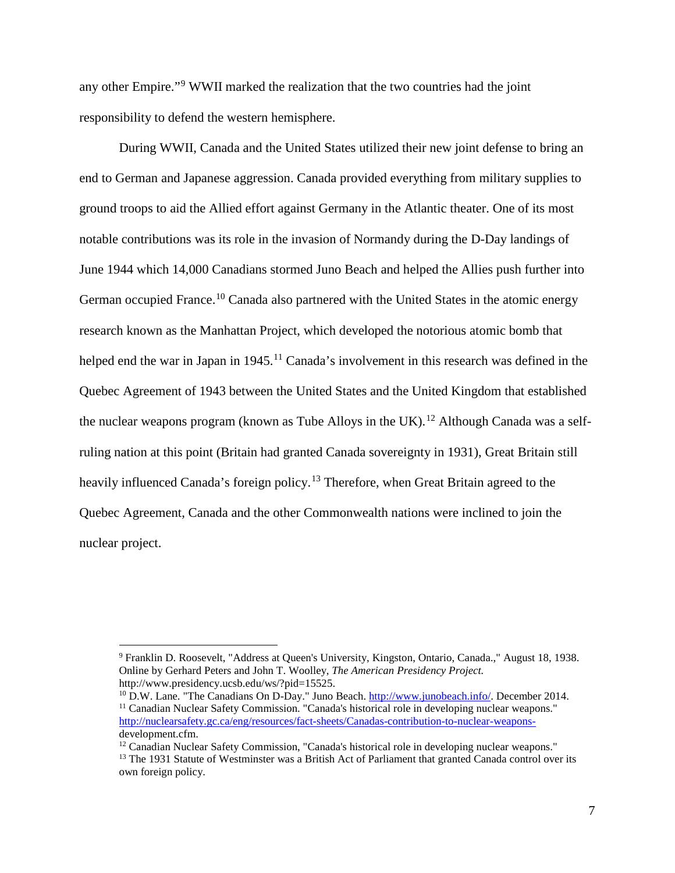any other Empire."[9](#page-7-0) WWII marked the realization that the two countries had the joint responsibility to defend the western hemisphere.

During WWII, Canada and the United States utilized their new joint defense to bring an end to German and Japanese aggression. Canada provided everything from military supplies to ground troops to aid the Allied effort against Germany in the Atlantic theater. One of its most notable contributions was its role in the invasion of Normandy during the D-Day landings of June 1944 which 14,000 Canadians stormed Juno Beach and helped the Allies push further into German occupied France.<sup>[10](#page-7-1)</sup> Canada also partnered with the United States in the atomic energy research known as the Manhattan Project, which developed the notorious atomic bomb that helped end the war in Japan in 1945.<sup>[11](#page-7-2)</sup> Canada's involvement in this research was defined in the Quebec Agreement of 1943 between the United States and the United Kingdom that established the nuclear weapons program (known as Tube Alloys in the UK).<sup>[12](#page-7-3)</sup> Although Canada was a selfruling nation at this point (Britain had granted Canada sovereignty in 1931), Great Britain still heavily influenced Canada's foreign policy.<sup>[13](#page-7-4)</sup> Therefore, when Great Britain agreed to the Quebec Agreement, Canada and the other Commonwealth nations were inclined to join the nuclear project.

<span id="page-7-0"></span> <sup>9</sup> Franklin D. Roosevelt, "Address at Queen's University, Kingston, Ontario, Canada.," August 18, 1938. Online by Gerhard Peters and John T. Woolley, *The American Presidency Project.* http://www.presidency.ucsb.edu/ws/?pid=15525.

<span id="page-7-2"></span><span id="page-7-1"></span><sup>&</sup>lt;sup>10</sup> D.W. Lane. "The Canadians On D-Day." Juno Beach.  $\frac{http://www.junobeach.info/}{http://www.junobeach.info/}$ . December 2014.<br><sup>11</sup> Canadian Nuclear Safety Commission. "Canada's historical role in developing nuclear weapons." [http://nuclearsafety.gc.ca/eng/resources/fact-sheets/Canadas-contribution-to-nuclear-weapons](http://nuclearsafety.gc.ca/eng/resources/fact-sheets/Canadas-contribution-to-nuclear-weapons-)development.cfm.

<span id="page-7-4"></span><span id="page-7-3"></span><sup>&</sup>lt;sup>12</sup> Canadian Nuclear Safety Commission, "Canada's historical role in developing nuclear weapons." <sup>13</sup> The 1931 Statute of Westminster was a British Act of Parliament that granted Canada control over its own foreign policy.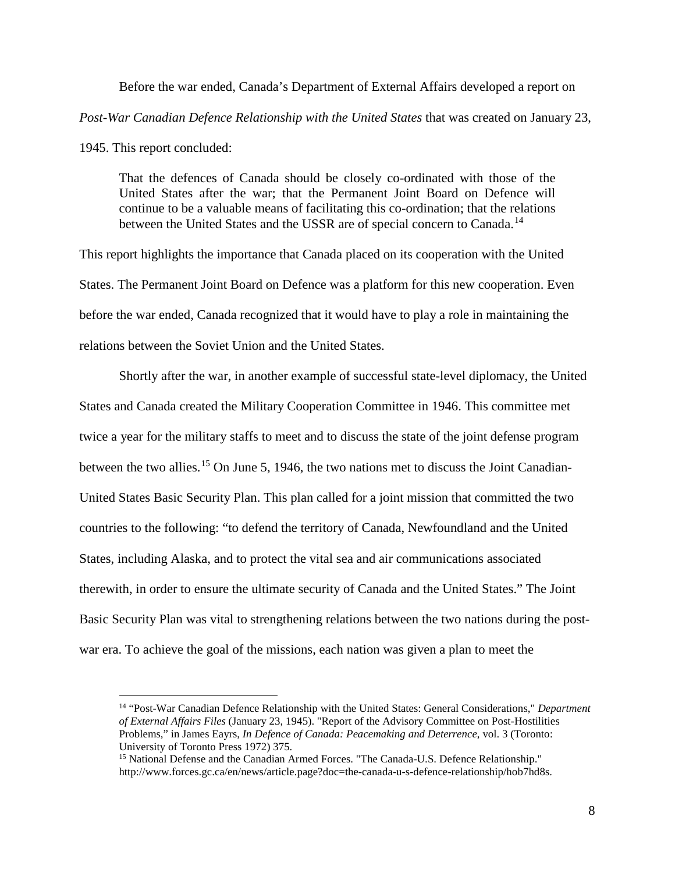Before the war ended, Canada's Department of External Affairs developed a report on *Post-War Canadian Defence Relationship with the United States* that was created on January 23,

1945. This report concluded:

That the defences of Canada should be closely co-ordinated with those of the United States after the war; that the Permanent Joint Board on Defence will continue to be a valuable means of facilitating this co-ordination; that the relations between the United States and the USSR are of special concern to Canada.<sup>[14](#page-8-0)</sup>

This report highlights the importance that Canada placed on its cooperation with the United States. The Permanent Joint Board on Defence was a platform for this new cooperation. Even before the war ended, Canada recognized that it would have to play a role in maintaining the relations between the Soviet Union and the United States.

Shortly after the war, in another example of successful state-level diplomacy, the United States and Canada created the Military Cooperation Committee in 1946. This committee met twice a year for the military staffs to meet and to discuss the state of the joint defense program between the two allies.<sup>[15](#page-8-1)</sup> On June 5, 1946, the two nations met to discuss the Joint Canadian-United States Basic Security Plan. This plan called for a joint mission that committed the two countries to the following: "to defend the territory of Canada, Newfoundland and the United States, including Alaska, and to protect the vital sea and air communications associated therewith, in order to ensure the ultimate security of Canada and the United States." The Joint Basic Security Plan was vital to strengthening relations between the two nations during the postwar era. To achieve the goal of the missions, each nation was given a plan to meet the

<span id="page-8-0"></span> <sup>14</sup> "Post-War Canadian Defence Relationship with the United States: General Considerations," *Department of External Affairs Files* (January 23, 1945). "Report of the Advisory Committee on Post-Hostilities Problems," in James Eayrs, *In Defence of Canada: Peacemaking and Deterrence*, vol. 3 (Toronto: University of Toronto Press 1972) 375.

<span id="page-8-1"></span><sup>&</sup>lt;sup>15</sup> National Defense and the Canadian Armed Forces. "The Canada-U.S. Defence Relationship." http://www.forces.gc.ca/en/news/article.page?doc=the-canada-u-s-defence-relationship/hob7hd8s.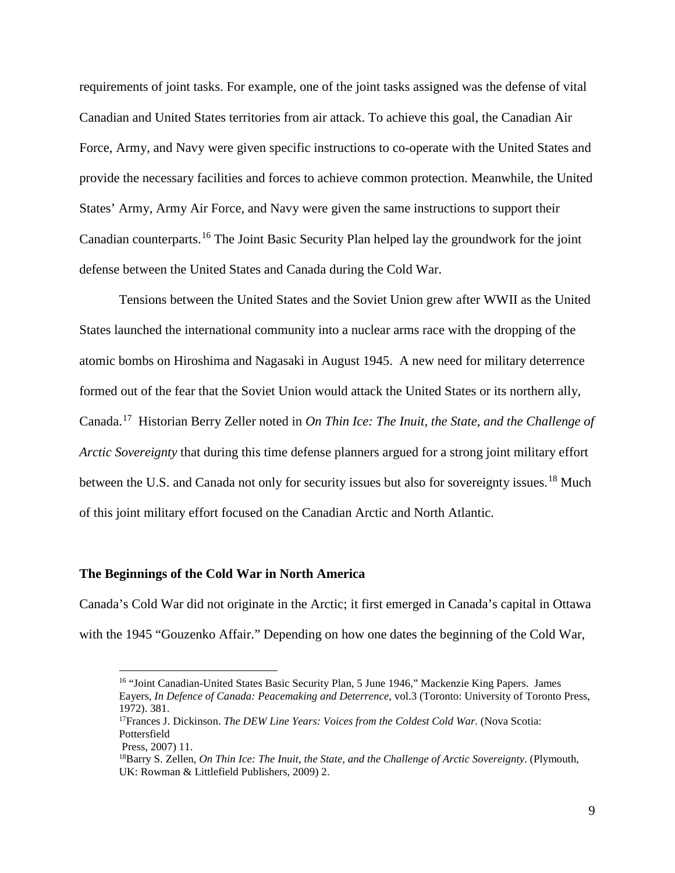requirements of joint tasks. For example, one of the joint tasks assigned was the defense of vital Canadian and United States territories from air attack. To achieve this goal, the Canadian Air Force, Army, and Navy were given specific instructions to co-operate with the United States and provide the necessary facilities and forces to achieve common protection. Meanwhile, the United States' Army, Army Air Force, and Navy were given the same instructions to support their Canadian counterparts.[16](#page-9-0) The Joint Basic Security Plan helped lay the groundwork for the joint defense between the United States and Canada during the Cold War.

Tensions between the United States and the Soviet Union grew after WWII as the United States launched the international community into a nuclear arms race with the dropping of the atomic bombs on Hiroshima and Nagasaki in August 1945. A new need for military deterrence formed out of the fear that the Soviet Union would attack the United States or its northern ally, Canada.[17](#page-9-1) Historian Berry Zeller noted in *On Thin Ice: The Inuit, the State, and the Challenge of Arctic Sovereignty* that during this time defense planners argued for a strong joint military effort between the U.S. and Canada not only for security issues but also for sovereignty issues.<sup>[18](#page-9-2)</sup> Much of this joint military effort focused on the Canadian Arctic and North Atlantic.

## **The Beginnings of the Cold War in North America**

<span id="page-9-0"></span>Canada's Cold War did not originate in the Arctic; it first emerged in Canada's capital in Ottawa with the 1945 "Gouzenko Affair." Depending on how one dates the beginning of the Cold War,

 <sup>16</sup> "Joint Canadian-United States Basic Security Plan, 5 June 1946," Mackenzie King Papers. James Eayers, *In Defence of Canada: Peacemaking and Deterrence*, vol.3 (Toronto: University of Toronto Press, 1972). 381. 17Frances J. Dickinson. *The DEW Line Years: Voices from the Coldest Cold War*. (Nova Scotia:

<span id="page-9-1"></span>Pottersfield

<span id="page-9-2"></span>Press, 2007) 11.<br><sup>18</sup>Barry S. Zellen, *On Thin Ice: The Inuit, the State, and the Challenge of Arctic Sovereignty.* (Plymouth, UK: Rowman & Littlefield Publishers, 2009) 2.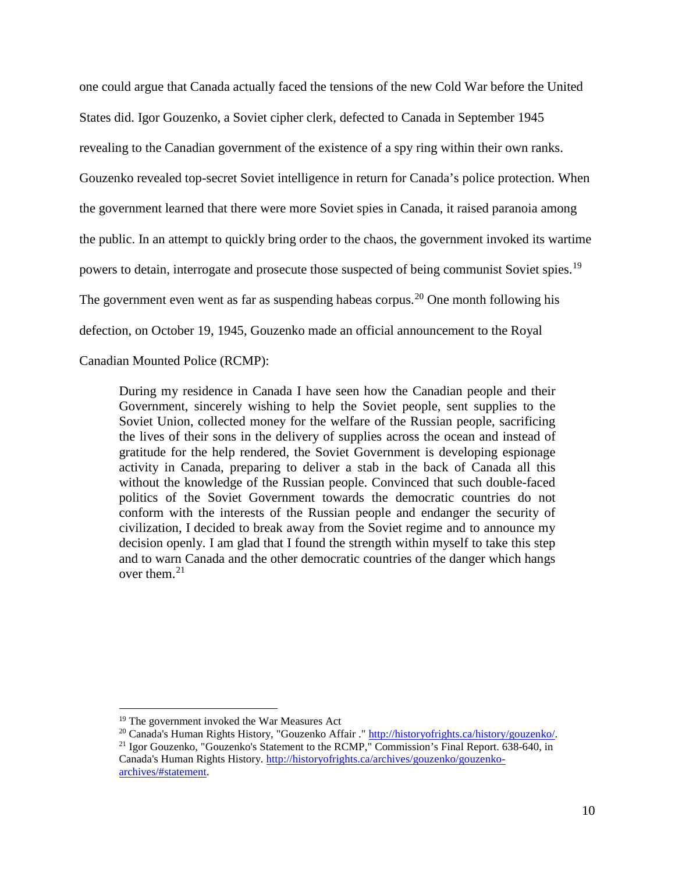one could argue that Canada actually faced the tensions of the new Cold War before the United States did. Igor Gouzenko, a Soviet cipher clerk, defected to Canada in September 1945 revealing to the Canadian government of the existence of a spy ring within their own ranks. Gouzenko revealed top-secret Soviet intelligence in return for Canada's police protection. When the government learned that there were more Soviet spies in Canada, it raised paranoia among the public. In an attempt to quickly bring order to the chaos, the government invoked its wartime powers to detain, interrogate and prosecute those suspected of being communist Soviet spies.<sup>[19](#page-10-0)</sup> The government even went as far as suspending habeas corpus.<sup>[20](#page-10-1)</sup> One month following his defection, on October 19, 1945, Gouzenko made an official announcement to the Royal Canadian Mounted Police (RCMP):

During my residence in Canada I have seen how the Canadian people and their Government, sincerely wishing to help the Soviet people, sent supplies to the Soviet Union, collected money for the welfare of the Russian people, sacrificing the lives of their sons in the delivery of supplies across the ocean and instead of gratitude for the help rendered, the Soviet Government is developing espionage activity in Canada, preparing to deliver a stab in the back of Canada all this without the knowledge of the Russian people. Convinced that such double-faced politics of the Soviet Government towards the democratic countries do not conform with the interests of the Russian people and endanger the security of civilization, I decided to break away from the Soviet regime and to announce my decision openly. I am glad that I found the strength within myself to take this step and to warn Canada and the other democratic countries of the danger which hangs over them. $21$ 

<span id="page-10-0"></span> <sup>19</sup> The government invoked the War Measures Act

<span id="page-10-1"></span><sup>&</sup>lt;sup>20</sup> Canada's Human Rights History, "Gouzenko Affair ." [http://historyofrights.ca/history/gouzenko/.](http://historyofrights.ca/history/gouzenko/)

<span id="page-10-2"></span><sup>21</sup> Igor Gouzenko, "Gouzenko's Statement to the RCMP," Commission's Final Report. 638-640, in Canada's Human Rights History[. http://historyofrights.ca/archives/gouzenko/gouzenko](http://historyofrights.ca/archives/gouzenko/gouzenko-archives/#statement)[archives/#statement.](http://historyofrights.ca/archives/gouzenko/gouzenko-archives/#statement)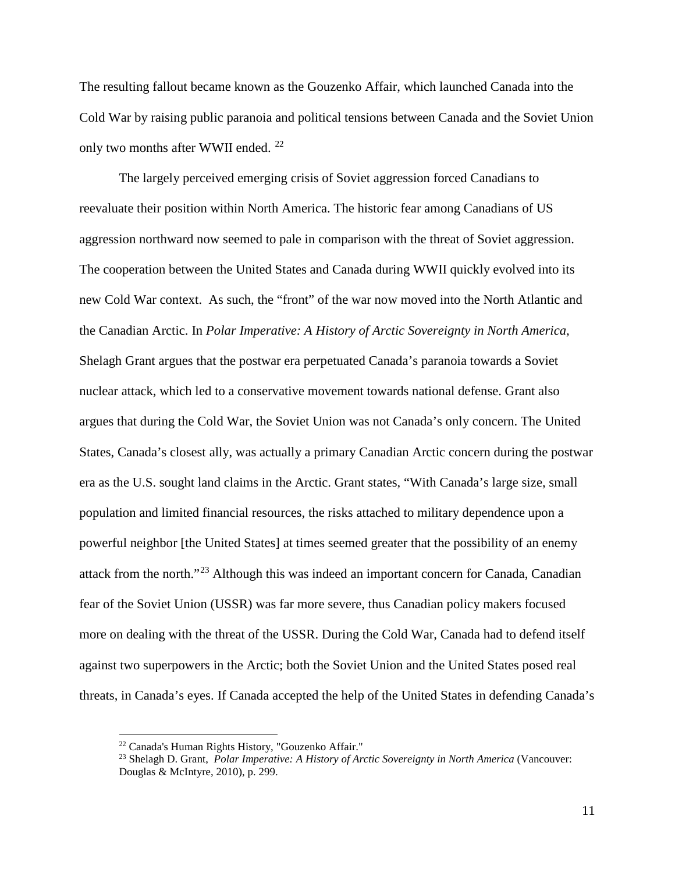The resulting fallout became known as the Gouzenko Affair, which launched Canada into the Cold War by raising public paranoia and political tensions between Canada and the Soviet Union only two months after WWII ended.<sup>[22](#page-11-0)</sup>

The largely perceived emerging crisis of Soviet aggression forced Canadians to reevaluate their position within North America. The historic fear among Canadians of US aggression northward now seemed to pale in comparison with the threat of Soviet aggression. The cooperation between the United States and Canada during WWII quickly evolved into its new Cold War context. As such, the "front" of the war now moved into the North Atlantic and the Canadian Arctic. In *Polar Imperative: A History of Arctic Sovereignty in North America,* Shelagh Grant argues that the postwar era perpetuated Canada's paranoia towards a Soviet nuclear attack, which led to a conservative movement towards national defense. Grant also argues that during the Cold War, the Soviet Union was not Canada's only concern. The United States, Canada's closest ally, was actually a primary Canadian Arctic concern during the postwar era as the U.S. sought land claims in the Arctic. Grant states, "With Canada's large size, small population and limited financial resources, the risks attached to military dependence upon a powerful neighbor [the United States] at times seemed greater that the possibility of an enemy attack from the north."[23](#page-11-1) Although this was indeed an important concern for Canada, Canadian fear of the Soviet Union (USSR) was far more severe, thus Canadian policy makers focused more on dealing with the threat of the USSR. During the Cold War, Canada had to defend itself against two superpowers in the Arctic; both the Soviet Union and the United States posed real threats, in Canada's eyes. If Canada accepted the help of the United States in defending Canada's

<span id="page-11-1"></span><span id="page-11-0"></span><sup>22</sup> Canada's Human Rights History, "Gouzenko Affair." 23 Shelagh D. Grant, *Polar Imperative: A History of Arctic Sovereignty in North America* (Vancouver: Douglas & McIntyre, 2010), p. 299.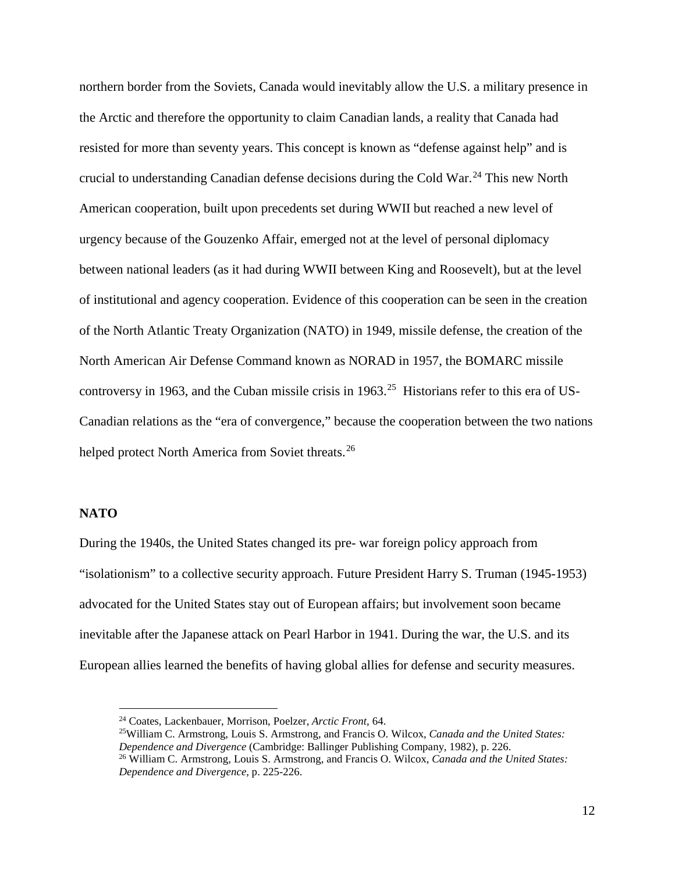northern border from the Soviets, Canada would inevitably allow the U.S. a military presence in the Arctic and therefore the opportunity to claim Canadian lands, a reality that Canada had resisted for more than seventy years. This concept is known as "defense against help" and is crucial to understanding Canadian defense decisions during the Cold War.<sup>[24](#page-12-0)</sup> This new North American cooperation, built upon precedents set during WWII but reached a new level of urgency because of the Gouzenko Affair, emerged not at the level of personal diplomacy between national leaders (as it had during WWII between King and Roosevelt), but at the level of institutional and agency cooperation. Evidence of this cooperation can be seen in the creation of the North Atlantic Treaty Organization (NATO) in 1949, missile defense, the creation of the North American Air Defense Command known as NORAD in 1957, the BOMARC missile controversy in 1963, and the Cuban missile crisis in 1963.<sup>[25](#page-12-1)</sup> Historians refer to this era of US-Canadian relations as the "era of convergence," because the cooperation between the two nations helped protect North America from Soviet threats.<sup>[26](#page-12-2)</sup>

## **NATO**

During the 1940s, the United States changed its pre- war foreign policy approach from "isolationism" to a collective security approach. Future President Harry S. Truman (1945-1953) advocated for the United States stay out of European affairs; but involvement soon became inevitable after the Japanese attack on Pearl Harbor in 1941. During the war, the U.S. and its European allies learned the benefits of having global allies for defense and security measures.

 <sup>24</sup> Coates, Lackenbauer, Morrison, Poelzer, *Arctic Front*, 64.

<span id="page-12-1"></span><span id="page-12-0"></span><sup>25</sup>William C. Armstrong, Louis S. Armstrong, and Francis O. Wilcox, *Canada and the United States:* 

<span id="page-12-2"></span><sup>&</sup>lt;sup>26</sup> William C. Armstrong, Louis S. Armstrong, and Francis O. Wilcox, *Canada and the United States: Dependence and Divergence,* p. 225-226.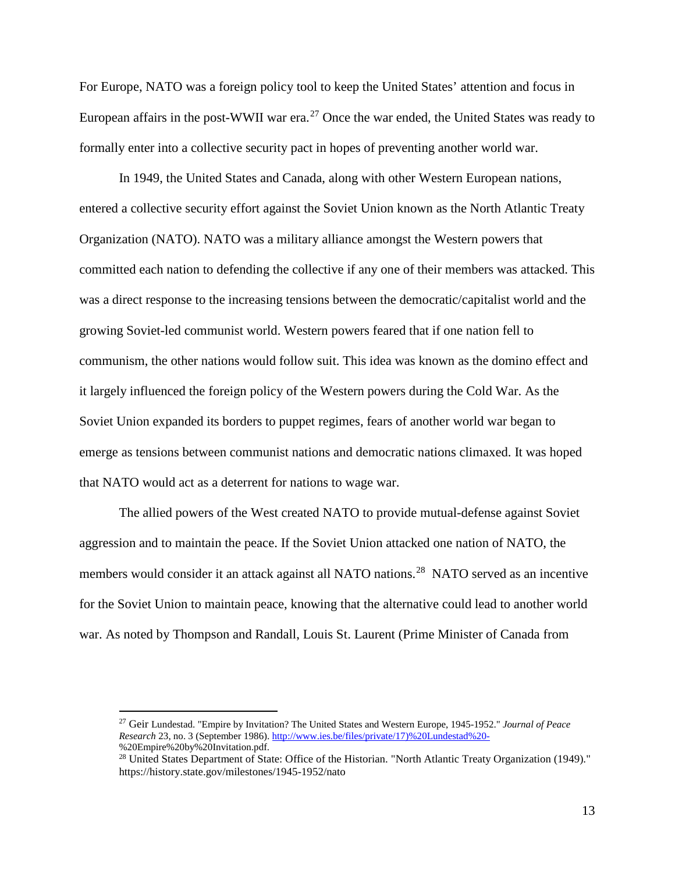For Europe, NATO was a foreign policy tool to keep the United States' attention and focus in European affairs in the post-WWII war era.<sup>[27](#page-13-0)</sup> Once the war ended, the United States was ready to formally enter into a collective security pact in hopes of preventing another world war.

In 1949, the United States and Canada, along with other Western European nations, entered a collective security effort against the Soviet Union known as the North Atlantic Treaty Organization (NATO). NATO was a military alliance amongst the Western powers that committed each nation to defending the collective if any one of their members was attacked. This was a direct response to the increasing tensions between the democratic/capitalist world and the growing Soviet-led communist world. Western powers feared that if one nation fell to communism, the other nations would follow suit. This idea was known as the domino effect and it largely influenced the foreign policy of the Western powers during the Cold War. As the Soviet Union expanded its borders to puppet regimes, fears of another world war began to emerge as tensions between communist nations and democratic nations climaxed. It was hoped that NATO would act as a deterrent for nations to wage war.

The allied powers of the West created NATO to provide mutual-defense against Soviet aggression and to maintain the peace. If the Soviet Union attacked one nation of NATO, the members would consider it an attack against all NATO nations.<sup>[28](#page-13-1)</sup> NATO served as an incentive for the Soviet Union to maintain peace, knowing that the alternative could lead to another world war. As noted by Thompson and Randall, Louis St. Laurent (Prime Minister of Canada from

<span id="page-13-0"></span> <sup>27</sup> Geir Lundestad. "Empire by Invitation? The United States and Western Europe, 1945-1952." *Journal of Peace Research* 23, no. 3 (September 1986)[. http://www.ies.be/files/private/17\)%20Lundestad%20-](http://www.ies.be/files/private/17)%20Lundestad%20-) %20Empire%20by%20Invitation.pdf.

<span id="page-13-1"></span><sup>&</sup>lt;sup>28</sup> United States Department of State: Office of the Historian. "North Atlantic Treaty Organization (1949)." https://history.state.gov/milestones/1945-1952/nato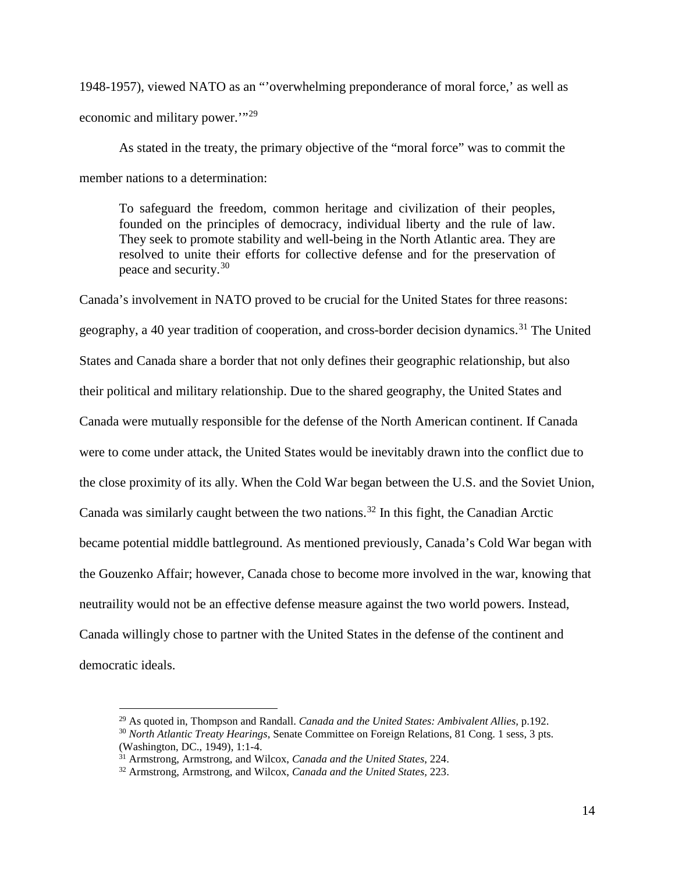1948-1957), viewed NATO as an "'overwhelming preponderance of moral force,' as well as economic and military power.'"[29](#page-14-0)

As stated in the treaty, the primary objective of the "moral force" was to commit the member nations to a determination:

To safeguard the freedom, common heritage and civilization of their peoples, founded on the principles of democracy, individual liberty and the rule of law. They seek to promote stability and well-being in the North Atlantic area. They are resolved to unite their efforts for collective defense and for the preservation of peace and security. [30](#page-14-1)

Canada's involvement in NATO proved to be crucial for the United States for three reasons: geography, a 40 year tradition of cooperation, and cross-border decision dynamics.<sup>[31](#page-14-2)</sup> The United States and Canada share a border that not only defines their geographic relationship, but also their political and military relationship. Due to the shared geography, the United States and Canada were mutually responsible for the defense of the North American continent. If Canada were to come under attack, the United States would be inevitably drawn into the conflict due to the close proximity of its ally. When the Cold War began between the U.S. and the Soviet Union, Canada was similarly caught between the two nations.<sup>[32](#page-14-3)</sup> In this fight, the Canadian Arctic became potential middle battleground. As mentioned previously, Canada's Cold War began with the Gouzenko Affair; however, Canada chose to become more involved in the war, knowing that neutraility would not be an effective defense measure against the two world powers. Instead, Canada willingly chose to partner with the United States in the defense of the continent and democratic ideals.

<span id="page-14-1"></span><span id="page-14-0"></span> <sup>29</sup> As quoted in, Thompson and Randall. *Canada and the United States: Ambivalent Allies,* p.192. <sup>30</sup> *North Atlantic Treaty Hearings*, Senate Committee on Foreign Relations, 81 Cong. 1 sess, 3 pts. (Washington, DC., 1949), 1:1-4.

<span id="page-14-2"></span><sup>&</sup>lt;sup>31</sup> Armstrong, Armstrong, and Wilcox, *Canada and the United States*, 224.

<span id="page-14-3"></span><sup>32</sup> Armstrong, Armstrong, and Wilcox, *Canada and the United States,* 223.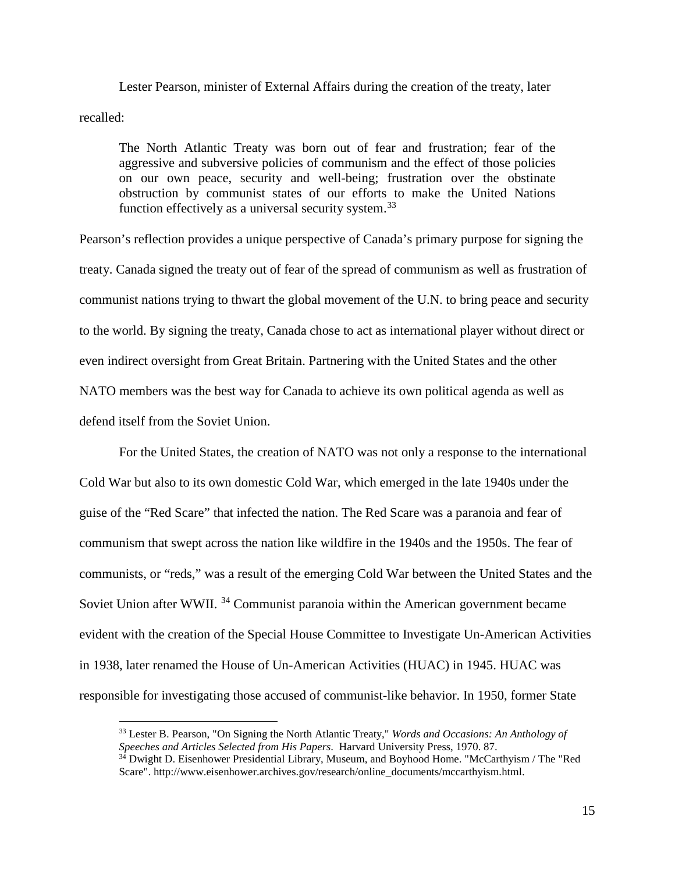Lester Pearson, minister of External Affairs during the creation of the treaty, later recalled:

The North Atlantic Treaty was born out of fear and frustration; fear of the aggressive and subversive policies of communism and the effect of those policies on our own peace, security and well-being; frustration over the obstinate obstruction by communist states of our efforts to make the United Nations function effectively as a universal security system.<sup>[33](#page-15-0)</sup>

Pearson's reflection provides a unique perspective of Canada's primary purpose for signing the treaty. Canada signed the treaty out of fear of the spread of communism as well as frustration of communist nations trying to thwart the global movement of the U.N. to bring peace and security to the world. By signing the treaty, Canada chose to act as international player without direct or even indirect oversight from Great Britain. Partnering with the United States and the other NATO members was the best way for Canada to achieve its own political agenda as well as defend itself from the Soviet Union.

For the United States, the creation of NATO was not only a response to the international Cold War but also to its own domestic Cold War, which emerged in the late 1940s under the guise of the "Red Scare" that infected the nation. The Red Scare was a paranoia and fear of communism that swept across the nation like wildfire in the 1940s and the 1950s. The fear of communists, or "reds," was a result of the emerging Cold War between the United States and the Soviet Union after WWII.<sup>[34](#page-15-1)</sup> Communist paranoia within the American government became evident with the creation of the Special House Committee to Investigate Un-American Activities in 1938, later renamed the House of Un-American Activities (HUAC) in 1945. HUAC was responsible for investigating those accused of communist-like behavior. In 1950, former State

<span id="page-15-0"></span><sup>&</sup>lt;sup>33</sup> Lester B. Pearson, "On Signing the North Atlantic Treaty," *Words and Occasions: An Anthology of Speeches and Articles Selected from His Papers. Harvard University Press, 1970. 87.* 

<span id="page-15-1"></span><sup>&</sup>lt;sup>34</sup> Dwight D. Eisenhower Presidential Library, Museum, and Boyhood Home. "McCarthyism / The "Red Scare". http://www.eisenhower.archives.gov/research/online\_documents/mccarthyism.html.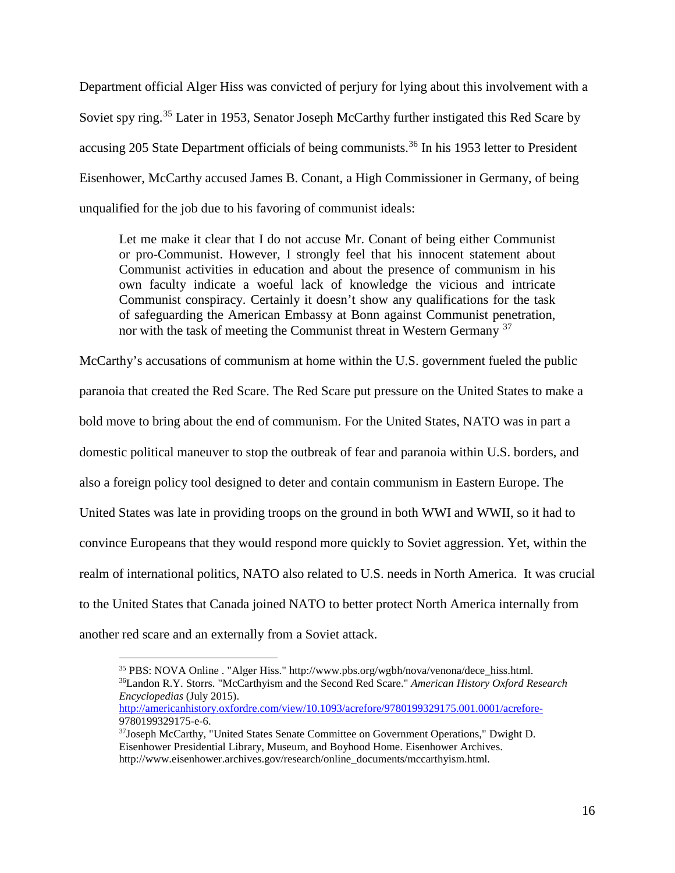Department official Alger Hiss was convicted of perjury for lying about this involvement with a Soviet spy ring.<sup>[35](#page-16-0)</sup> Later in 1953, Senator Joseph McCarthy further instigated this Red Scare by accusing 205 State Department officials of being communists.<sup>[36](#page-16-1)</sup> In his 1953 letter to President Eisenhower, McCarthy accused James B. Conant, a High Commissioner in Germany, of being unqualified for the job due to his favoring of communist ideals:

Let me make it clear that I do not accuse Mr. Conant of being either Communist or pro-Communist. However, I strongly feel that his innocent statement about Communist activities in education and about the presence of communism in his own faculty indicate a woeful lack of knowledge the vicious and intricate Communist conspiracy. Certainly it doesn't show any qualifications for the task of safeguarding the American Embassy at Bonn against Communist penetration, nor with the task of meeting the Communist threat in Western Germany  $37$ 

McCarthy's accusations of communism at home within the U.S. government fueled the public paranoia that created the Red Scare. The Red Scare put pressure on the United States to make a bold move to bring about the end of communism. For the United States, NATO was in part a domestic political maneuver to stop the outbreak of fear and paranoia within U.S. borders, and also a foreign policy tool designed to deter and contain communism in Eastern Europe. The United States was late in providing troops on the ground in both WWI and WWII, so it had to convince Europeans that they would respond more quickly to Soviet aggression. Yet, within the realm of international politics, NATO also related to U.S. needs in North America. It was crucial to the United States that Canada joined NATO to better protect North America internally from another red scare and an externally from a Soviet attack.

<span id="page-16-1"></span><span id="page-16-0"></span> <sup>35</sup> PBS: NOVA Online . "Alger Hiss." http://www.pbs.org/wgbh/nova/venona/dece\_hiss.html. 36Landon R.Y. Storrs. "McCarthyism and the Second Red Scare." *American History Oxford Research Encyclopedias* (July 2015).

<http://americanhistory.oxfordre.com/view/10.1093/acrefore/9780199329175.001.0001/acrefore->9780199329175-e-6.

<span id="page-16-2"></span> $37$  Joseph McCarthy, "United States Senate Committee on Government Operations," Dwight D. Eisenhower Presidential Library, Museum, and Boyhood Home. Eisenhower Archives. http://www.eisenhower.archives.gov/research/online\_documents/mccarthyism.html.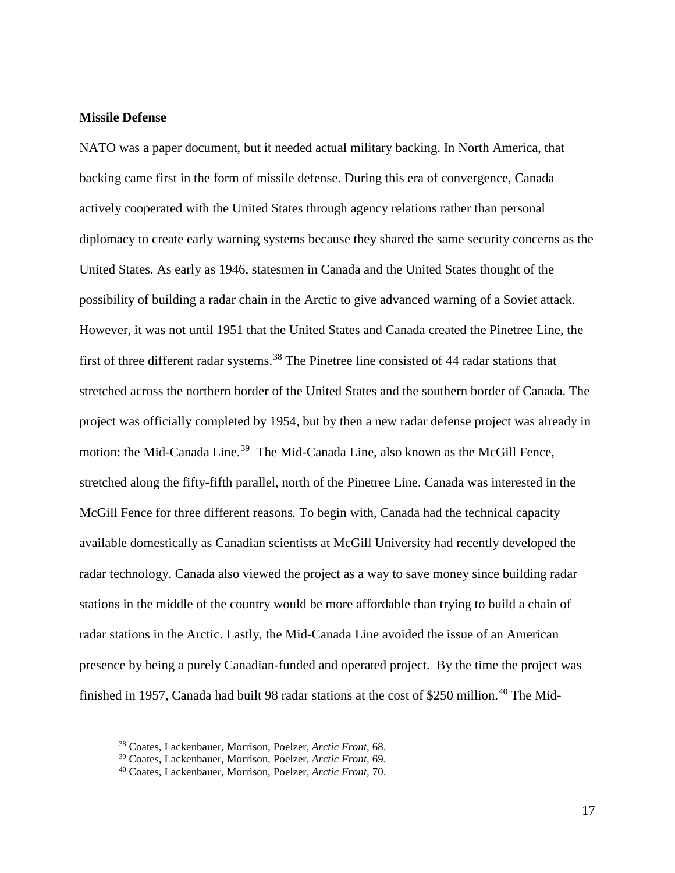## **Missile Defense**

NATO was a paper document, but it needed actual military backing. In North America, that backing came first in the form of missile defense. During this era of convergence, Canada actively cooperated with the United States through agency relations rather than personal diplomacy to create early warning systems because they shared the same security concerns as the United States. As early as 1946, statesmen in Canada and the United States thought of the possibility of building a radar chain in the Arctic to give advanced warning of a Soviet attack. However, it was not until 1951 that the United States and Canada created the Pinetree Line, the first of three different radar systems.<sup>[38](#page-17-0)</sup> The Pinetree line consisted of 44 radar stations that stretched across the northern border of the United States and the southern border of Canada. The project was officially completed by 1954, but by then a new radar defense project was already in motion: the Mid-Canada Line.<sup>39</sup> The Mid-Canada Line, also known as the McGill Fence, stretched along the fifty-fifth parallel, north of the Pinetree Line. Canada was interested in the McGill Fence for three different reasons*.* To begin with, Canada had the technical capacity available domestically as Canadian scientists at McGill University had recently developed the radar technology. Canada also viewed the project as a way to save money since building radar stations in the middle of the country would be more affordable than trying to build a chain of radar stations in the Arctic. Lastly, the Mid-Canada Line avoided the issue of an American presence by being a purely Canadian-funded and operated project. By the time the project was finished in 1957, Canada had built 98 radar stations at the cost of \$250 million.<sup>[40](#page-17-2)</sup> The Mid-

<span id="page-17-1"></span><span id="page-17-0"></span> <sup>38</sup> Coates, Lackenbauer, Morrison, Poelzer, *Arctic Front,* 68.

<sup>39</sup> Coates, Lackenbauer, Morrison, Poelzer, *Arctic Front,* 69.

<span id="page-17-2"></span><sup>40</sup> Coates, Lackenbauer, Morrison, Poelzer, *Arctic Front,* 70.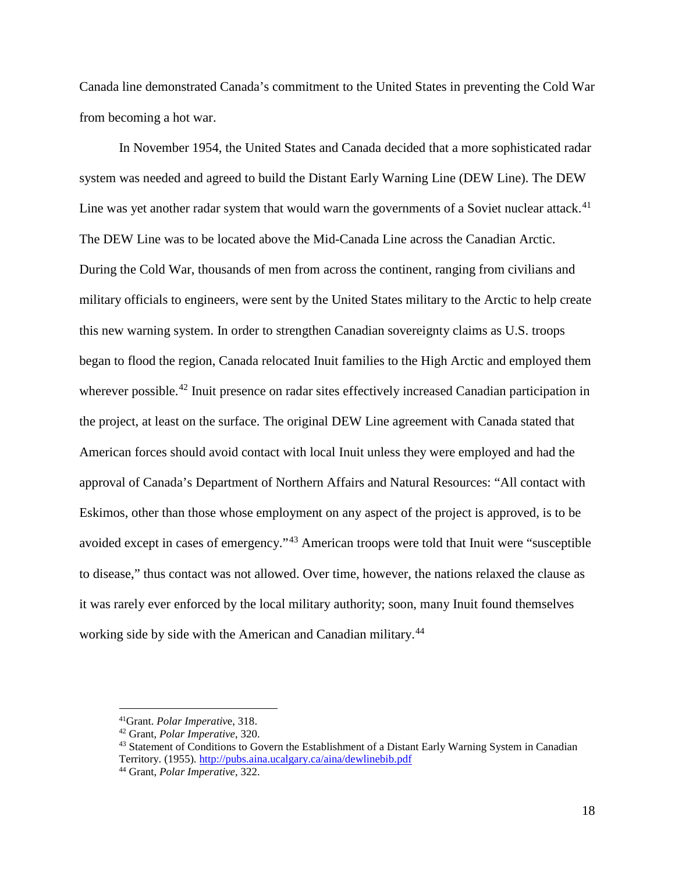Canada line demonstrated Canada's commitment to the United States in preventing the Cold War from becoming a hot war.

In November 1954, the United States and Canada decided that a more sophisticated radar system was needed and agreed to build the Distant Early Warning Line (DEW Line). The DEW Line was yet another radar system that would warn the governments of a Soviet nuclear attack.<sup>[41](#page-18-0)</sup> The DEW Line was to be located above the Mid-Canada Line across the Canadian Arctic. During the Cold War, thousands of men from across the continent, ranging from civilians and military officials to engineers, were sent by the United States military to the Arctic to help create this new warning system. In order to strengthen Canadian sovereignty claims as U.S. troops began to flood the region, Canada relocated Inuit families to the High Arctic and employed them wherever possible.<sup>[42](#page-18-1)</sup> Inuit presence on radar sites effectively increased Canadian participation in the project, at least on the surface. The original DEW Line agreement with Canada stated that American forces should avoid contact with local Inuit unless they were employed and had the approval of Canada's Department of Northern Affairs and Natural Resources: "All contact with Eskimos, other than those whose employment on any aspect of the project is approved, is to be avoided except in cases of emergency."[43](#page-18-2) American troops were told that Inuit were "susceptible to disease," thus contact was not allowed. Over time, however, the nations relaxed the clause as it was rarely ever enforced by the local military authority; soon, many Inuit found themselves working side by side with the American and Canadian military.<sup>[44](#page-18-3)</sup>

<span id="page-18-1"></span><span id="page-18-0"></span><sup>&</sup>lt;sup>41</sup>Grant. *Polar Imperative*, 318.<br><sup>42</sup> Grant, *Polar Imperative*, 320.

<span id="page-18-2"></span><sup>&</sup>lt;sup>43</sup> Statement of Conditions to Govern the Establishment of a Distant Early Warning System in Canadian Territory. (1955).<http://pubs.aina.ucalgary.ca/aina/dewlinebib.pdf>

<span id="page-18-3"></span><sup>44</sup> Grant, *Polar Imperative*, 322.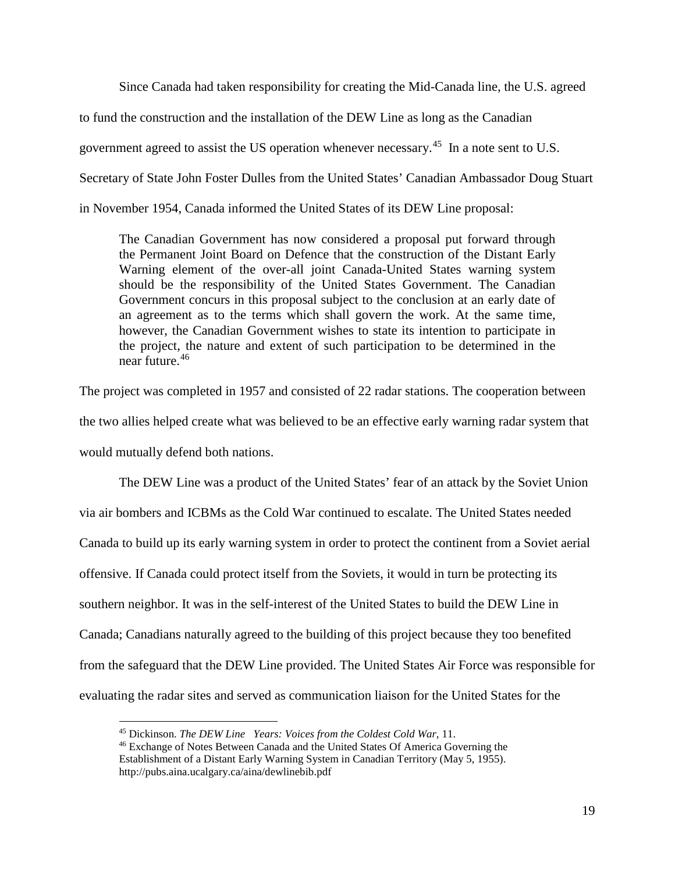Since Canada had taken responsibility for creating the Mid-Canada line, the U.S. agreed

to fund the construction and the installation of the DEW Line as long as the Canadian

government agreed to assist the US operation whenever necessary.[45](#page-19-0) In a note sent to U.S.

Secretary of State John Foster Dulles from the United States' Canadian Ambassador Doug Stuart

in November 1954, Canada informed the United States of its DEW Line proposal:

The Canadian Government has now considered a proposal put forward through the Permanent Joint Board on Defence that the construction of the Distant Early Warning element of the over-all joint Canada-United States warning system should be the responsibility of the United States Government. The Canadian Government concurs in this proposal subject to the conclusion at an early date of an agreement as to the terms which shall govern the work. At the same time, however, the Canadian Government wishes to state its intention to participate in the project, the nature and extent of such participation to be determined in the near future.[46](#page-19-1)

The project was completed in 1957 and consisted of 22 radar stations. The cooperation between the two allies helped create what was believed to be an effective early warning radar system that would mutually defend both nations.

The DEW Line was a product of the United States' fear of an attack by the Soviet Union via air bombers and ICBMs as the Cold War continued to escalate. The United States needed Canada to build up its early warning system in order to protect the continent from a Soviet aerial offensive. If Canada could protect itself from the Soviets, it would in turn be protecting its southern neighbor. It was in the self-interest of the United States to build the DEW Line in Canada; Canadians naturally agreed to the building of this project because they too benefited from the safeguard that the DEW Line provided. The United States Air Force was responsible for evaluating the radar sites and served as communication liaison for the United States for the

 <sup>45</sup> Dickinson. *The DEW Line Years: Voices from the Coldest Cold War*, 11.

<span id="page-19-1"></span><span id="page-19-0"></span><sup>46</sup> Exchange of Notes Between Canada and the United States Of America Governing the Establishment of a Distant Early Warning System in Canadian Territory (May 5, 1955). http://pubs.aina.ucalgary.ca/aina/dewlinebib.pdf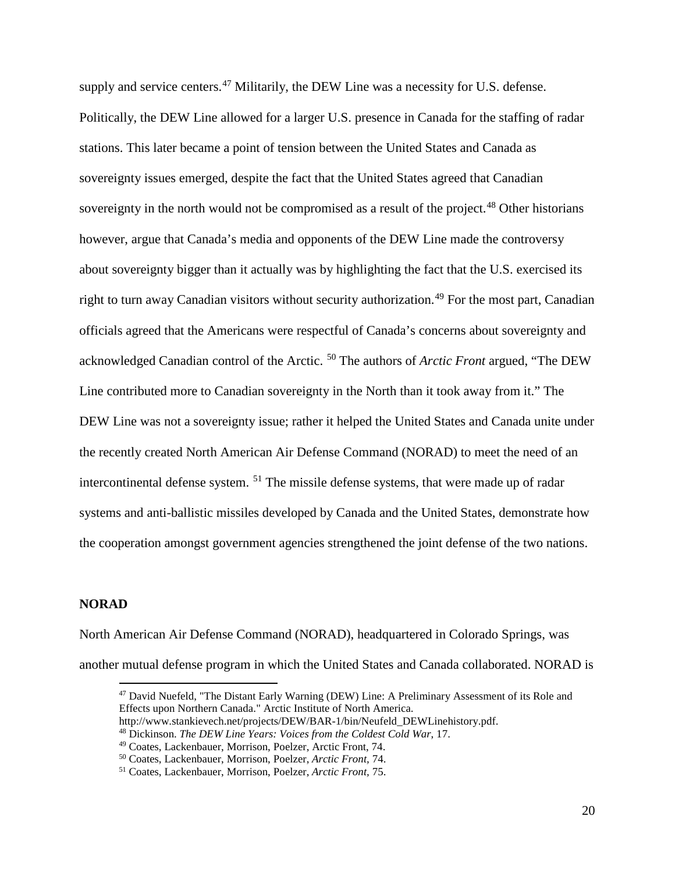supply and service centers.<sup>[47](#page-20-0)</sup> Militarily, the DEW Line was a necessity for U.S. defense. Politically, the DEW Line allowed for a larger U.S. presence in Canada for the staffing of radar stations. This later became a point of tension between the United States and Canada as sovereignty issues emerged, despite the fact that the United States agreed that Canadian sovereignty in the north would not be compromised as a result of the project.<sup>[48](#page-20-1)</sup> Other historians however, argue that Canada's media and opponents of the DEW Line made the controversy about sovereignty bigger than it actually was by highlighting the fact that the U.S. exercised its right to turn away Canadian visitors without security authorization.<sup>[49](#page-20-2)</sup> For the most part, Canadian officials agreed that the Americans were respectful of Canada's concerns about sovereignty and acknowledged Canadian control of the Arctic. [50](#page-20-3) The authors of *Arctic Front* argued, "The DEW Line contributed more to Canadian sovereignty in the North than it took away from it." The DEW Line was not a sovereignty issue; rather it helped the United States and Canada unite under the recently created North American Air Defense Command (NORAD) to meet the need of an intercontinental defense system. [51](#page-20-4) The missile defense systems, that were made up of radar systems and anti-ballistic missiles developed by Canada and the United States, demonstrate how the cooperation amongst government agencies strengthened the joint defense of the two nations.

## **NORAD**

<span id="page-20-0"></span>North American Air Defense Command (NORAD), headquartered in Colorado Springs, was another mutual defense program in which the United States and Canada collaborated. NORAD is

 <sup>47</sup> David Nuefeld, "The Distant Early Warning (DEW) Line: A Preliminary Assessment of its Role and Effects upon Northern Canada." Arctic Institute of North America.

http://www.stankievech.net/projects/DEW/BAR-1/bin/Neufeld\_DEWLinehistory.pdf.

<span id="page-20-1"></span><sup>48</sup> Dickinson. *The DEW Line Years: Voices from the Coldest Cold War*, 17.

<span id="page-20-3"></span><span id="page-20-2"></span><sup>&</sup>lt;sup>49</sup> Coates, Lackenbauer, Morrison, Poelzer, Arctic Front, 74.<br><sup>50</sup> Coates, Lackenbauer, Morrison, Poelzer, Arctic Front, 74.

<span id="page-20-4"></span><sup>&</sup>lt;sup>51</sup> Coates, Lackenbauer, Morrison, Poelzer, *Arctic Front*, 75.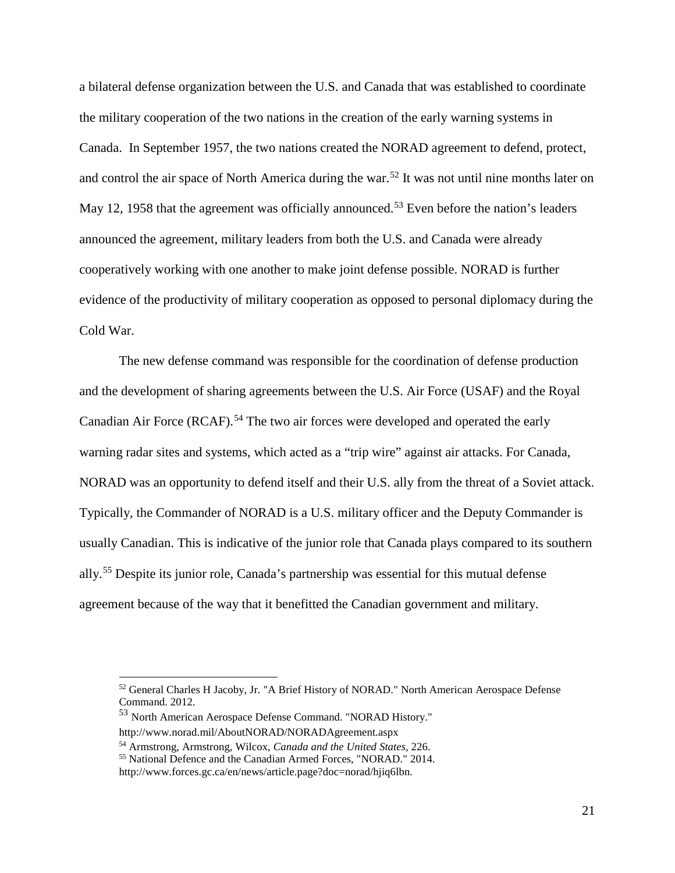a bilateral defense organization between the U.S. and Canada that was established to coordinate the military cooperation of the two nations in the creation of the early warning systems in Canada. In September 1957, the two nations created the NORAD agreement to defend, protect, and control the air space of North America during the war.<sup>[52](#page-21-0)</sup> It was not until nine months later on May 12, 1958 that the agreement was officially announced.<sup>[53](#page-21-1)</sup> Even before the nation's leaders announced the agreement, military leaders from both the U.S. and Canada were already cooperatively working with one another to make joint defense possible. NORAD is further evidence of the productivity of military cooperation as opposed to personal diplomacy during the Cold War.

The new defense command was responsible for the coordination of defense production and the development of sharing agreements between the U.S. Air Force (USAF) and the Royal Canadian Air Force (RCAF).<sup>[54](#page-21-2)</sup> The two air forces were developed and operated the early warning radar sites and systems, which acted as a "trip wire" against air attacks. For Canada, NORAD was an opportunity to defend itself and their U.S. ally from the threat of a Soviet attack. Typically, the Commander of NORAD is a U.S. military officer and the Deputy Commander is usually Canadian. This is indicative of the junior role that Canada plays compared to its southern ally.[55](#page-21-3) Despite its junior role, Canada's partnership was essential for this mutual defense agreement because of the way that it benefitted the Canadian government and military.

<span id="page-21-0"></span> <sup>52</sup> General Charles H Jacoby, Jr. "A Brief History of NORAD." North American Aerospace Defense Command. 2012.

<span id="page-21-1"></span><sup>53</sup> North American Aerospace Defense Command. "NORAD History." http://www.norad.mil/AboutNORAD/NORADAgreement.aspx

<span id="page-21-2"></span><sup>54</sup> Armstrong, Armstrong, Wilcox, *Canada and the United States,* 226. 55 National Defence and the Canadian Armed Forces, "NORAD." 2014.

<span id="page-21-3"></span>http://www.forces.gc.ca/en/news/article.page?doc=norad/hjiq6lbn.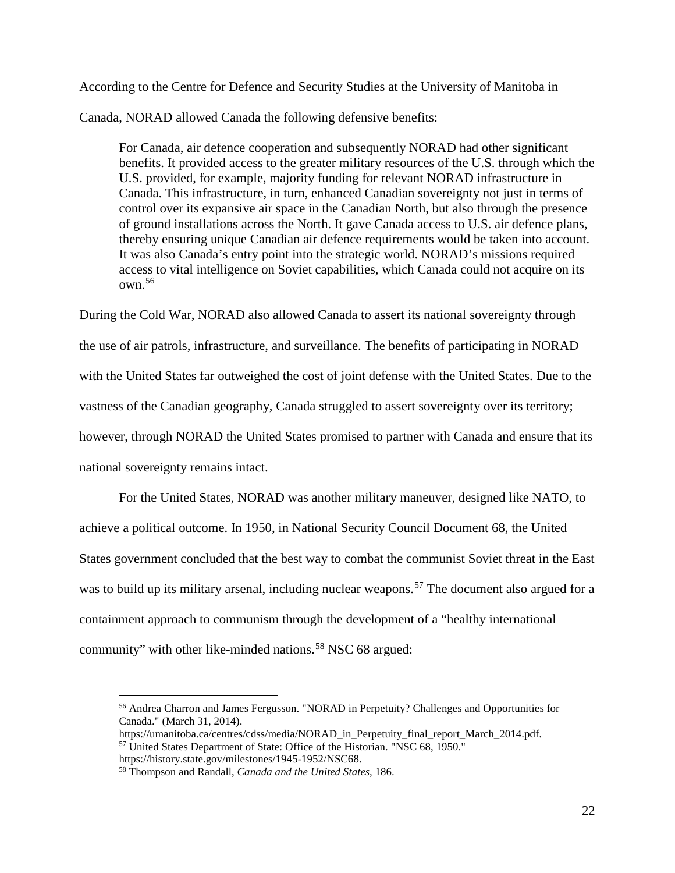According to the Centre for Defence and Security Studies at the University of Manitoba in

Canada, NORAD allowed Canada the following defensive benefits:

For Canada, air defence cooperation and subsequently NORAD had other significant benefits. It provided access to the greater military resources of the U.S. through which the U.S. provided, for example, majority funding for relevant NORAD infrastructure in Canada. This infrastructure, in turn, enhanced Canadian sovereignty not just in terms of control over its expansive air space in the Canadian North, but also through the presence of ground installations across the North. It gave Canada access to U.S. air defence plans, thereby ensuring unique Canadian air defence requirements would be taken into account. It was also Canada's entry point into the strategic world. NORAD's missions required access to vital intelligence on Soviet capabilities, which Canada could not acquire on its  $own<sup>56</sup>$  $own<sup>56</sup>$  $own<sup>56</sup>$ 

During the Cold War, NORAD also allowed Canada to assert its national sovereignty through the use of air patrols, infrastructure, and surveillance. The benefits of participating in NORAD with the United States far outweighed the cost of joint defense with the United States. Due to the vastness of the Canadian geography, Canada struggled to assert sovereignty over its territory; however, through NORAD the United States promised to partner with Canada and ensure that its national sovereignty remains intact.

For the United States, NORAD was another military maneuver, designed like NATO, to achieve a political outcome. In 1950, in National Security Council Document 68, the United States government concluded that the best way to combat the communist Soviet threat in the East was to build up its military arsenal, including nuclear weapons.<sup>[57](#page-22-1)</sup> The document also argued for a containment approach to communism through the development of a "healthy international community" with other like-minded nations.<sup>[58](#page-22-2)</sup> NSC 68 argued:

<span id="page-22-0"></span> <sup>56</sup> Andrea Charron and James Fergusson. "NORAD in Perpetuity? Challenges and Opportunities for Canada." (March 31, 2014).

<span id="page-22-1"></span>https://umanitoba.ca/centres/cdss/media/NORAD\_in\_Perpetuity\_final\_report\_March\_2014.pdf. <sup>57</sup> United States Department of State: Office of the Historian. "NSC 68, 1950."

https://history.state.gov/milestones/1945-1952/NSC68.

<span id="page-22-2"></span><sup>58</sup> Thompson and Randall, *Canada and the United States,* 186.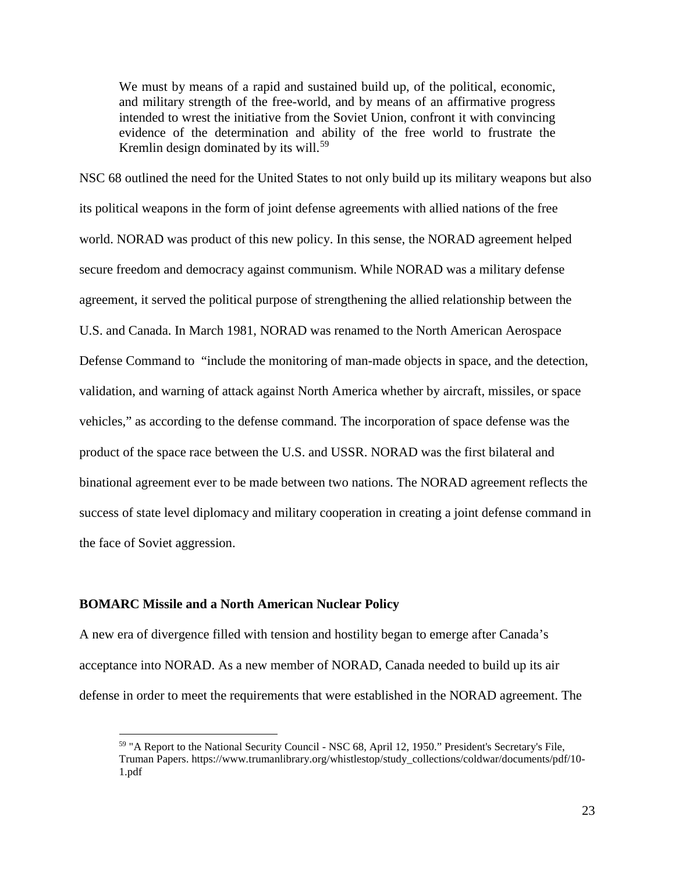We must by means of a rapid and sustained build up, of the political, economic, and military strength of the free-world, and by means of an affirmative progress intended to wrest the initiative from the Soviet Union, confront it with convincing evidence of the determination and ability of the free world to frustrate the Kremlin design dominated by its will.<sup>[59](#page-23-0)</sup>

NSC 68 outlined the need for the United States to not only build up its military weapons but also its political weapons in the form of joint defense agreements with allied nations of the free world. NORAD was product of this new policy. In this sense, the NORAD agreement helped secure freedom and democracy against communism. While NORAD was a military defense agreement, it served the political purpose of strengthening the allied relationship between the U.S. and Canada. In March 1981, NORAD was renamed to the North American Aerospace Defense Command to "include the monitoring of man-made objects in space, and the detection, validation, and warning of attack against North America whether by aircraft, missiles, or space vehicles," as according to the defense command. The incorporation of space defense was the product of the space race between the U.S. and USSR. NORAD was the first bilateral and binational agreement ever to be made between two nations. The NORAD agreement reflects the success of state level diplomacy and military cooperation in creating a joint defense command in the face of Soviet aggression.

#### **BOMARC Missile and a North American Nuclear Policy**

A new era of divergence filled with tension and hostility began to emerge after Canada's acceptance into NORAD. As a new member of NORAD, Canada needed to build up its air defense in order to meet the requirements that were established in the NORAD agreement. The

<span id="page-23-0"></span> <sup>59</sup> "A Report to the National Security Council - NSC 68, April 12, 1950." President's Secretary's File, Truman Papers. https://www.trumanlibrary.org/whistlestop/study\_collections/coldwar/documents/pdf/10- 1.pdf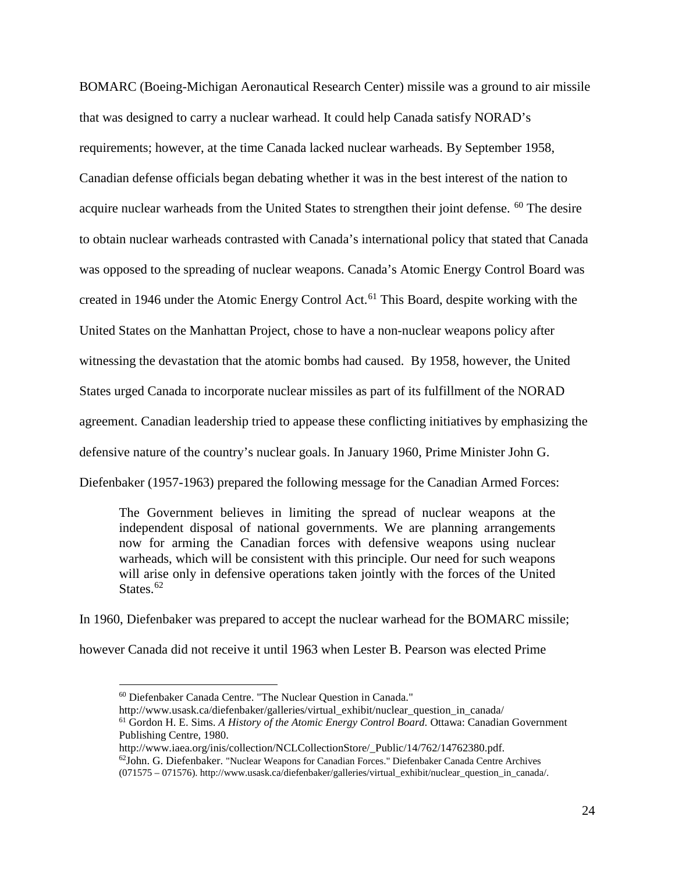BOMARC (Boeing-Michigan Aeronautical Research Center) missile was a ground to air missile that was designed to carry a nuclear warhead. It could help Canada satisfy NORAD's requirements; however, at the time Canada lacked nuclear warheads. By September 1958, Canadian defense officials began debating whether it was in the best interest of the nation to acquire nuclear warheads from the United States to strengthen their joint defense. <sup>[60](#page-24-0)</sup> The desire to obtain nuclear warheads contrasted with Canada's international policy that stated that Canada was opposed to the spreading of nuclear weapons. Canada's Atomic Energy Control Board was created in 1946 under the Atomic Energy Control Act.<sup>[61](#page-24-1)</sup> This Board, despite working with the United States on the Manhattan Project, chose to have a non-nuclear weapons policy after witnessing the devastation that the atomic bombs had caused. By 1958, however, the United States urged Canada to incorporate nuclear missiles as part of its fulfillment of the NORAD agreement. Canadian leadership tried to appease these conflicting initiatives by emphasizing the defensive nature of the country's nuclear goals. In January 1960, Prime Minister John G. Diefenbaker (1957-1963) prepared the following message for the Canadian Armed Forces:

The Government believes in limiting the spread of nuclear weapons at the independent disposal of national governments. We are planning arrangements now for arming the Canadian forces with defensive weapons using nuclear warheads, which will be consistent with this principle. Our need for such weapons will arise only in defensive operations taken jointly with the forces of the United States.<sup>[62](#page-24-2)</sup>

<span id="page-24-0"></span>In 1960, Diefenbaker was prepared to accept the nuclear warhead for the BOMARC missile; however Canada did not receive it until 1963 when Lester B. Pearson was elected Prime

 <sup>60</sup> Diefenbaker Canada Centre. "The Nuclear Question in Canada."

<span id="page-24-1"></span>http://www.usask.ca/diefenbaker/galleries/virtual\_exhibit/nuclear\_question\_in\_canada/ <sup>61</sup> Gordon H. E. Sims. *A History of the Atomic Energy Control Board.* Ottawa: Canadian Government Publishing Centre, 1980.

<span id="page-24-2"></span>http://www.iaea.org/inis/collection/NCLCollectionStore/\_Public/14/762/14762380.pdf.  $62$ John. G. Diefenbaker. "Nuclear Weapons for Canadian Forces." Diefenbaker Canada Centre Archives (071575 – 071576). http://www.usask.ca/diefenbaker/galleries/virtual\_exhibit/nuclear\_question\_in\_canada/.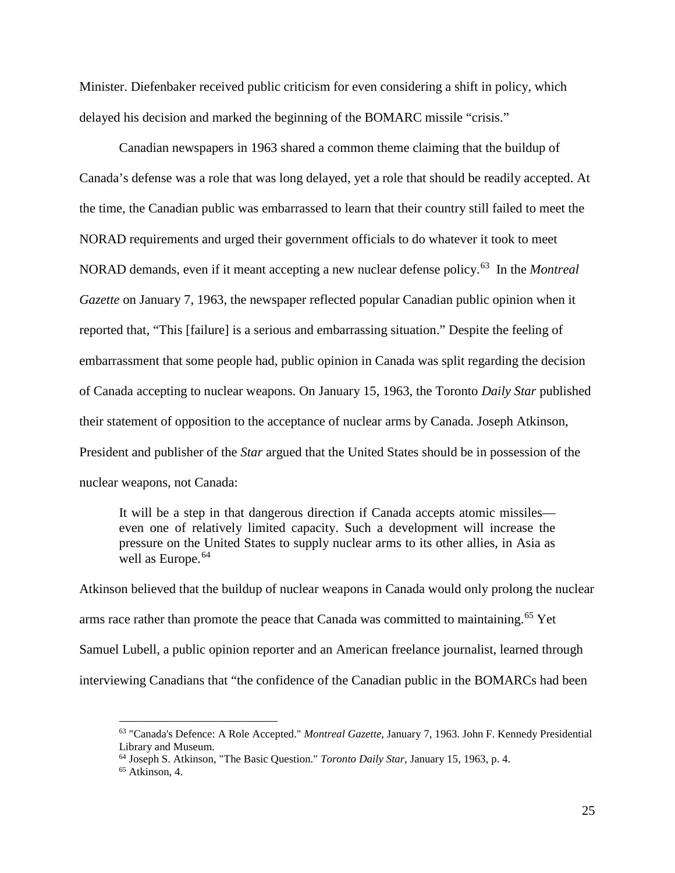Minister. Diefenbaker received public criticism for even considering a shift in policy, which delayed his decision and marked the beginning of the BOMARC missile "crisis."

Canadian newspapers in 1963 shared a common theme claiming that the buildup of Canada's defense was a role that was long delayed, yet a role that should be readily accepted. At the time, the Canadian public was embarrassed to learn that their country still failed to meet the NORAD requirements and urged their government officials to do whatever it took to meet NORAD demands, even if it meant accepting a new nuclear defense policy.[63](#page-25-0) In the *Montreal Gazette* on January 7, 1963, the newspaper reflected popular Canadian public opinion when it reported that, "This [failure] is a serious and embarrassing situation." Despite the feeling of embarrassment that some people had, public opinion in Canada was split regarding the decision of Canada accepting to nuclear weapons. On January 15, 1963, the Toronto *Daily Star* published their statement of opposition to the acceptance of nuclear arms by Canada. Joseph Atkinson, President and publisher of the *Star* argued that the United States should be in possession of the nuclear weapons, not Canada:

It will be a step in that dangerous direction if Canada accepts atomic missiles even one of relatively limited capacity. Such a development will increase the pressure on the United States to supply nuclear arms to its other allies, in Asia as well as Europe.<sup>[64](#page-25-1)</sup>

Atkinson believed that the buildup of nuclear weapons in Canada would only prolong the nuclear arms race rather than promote the peace that Canada was committed to maintaining.<sup>[65](#page-25-2)</sup> Yet Samuel Lubell, a public opinion reporter and an American freelance journalist, learned through interviewing Canadians that "the confidence of the Canadian public in the BOMARCs had been

<span id="page-25-0"></span> <sup>63</sup> "Canada's Defence: A Role Accepted." *Montreal Gazette,* January 7, 1963. John F. Kennedy Presidential Library and Museum.

<span id="page-25-1"></span><sup>64</sup> Joseph S. Atkinson, "The Basic Question." *Toronto Daily Star*, January 15, 1963, p. 4.

<span id="page-25-2"></span> $65$  Atkinson, 4.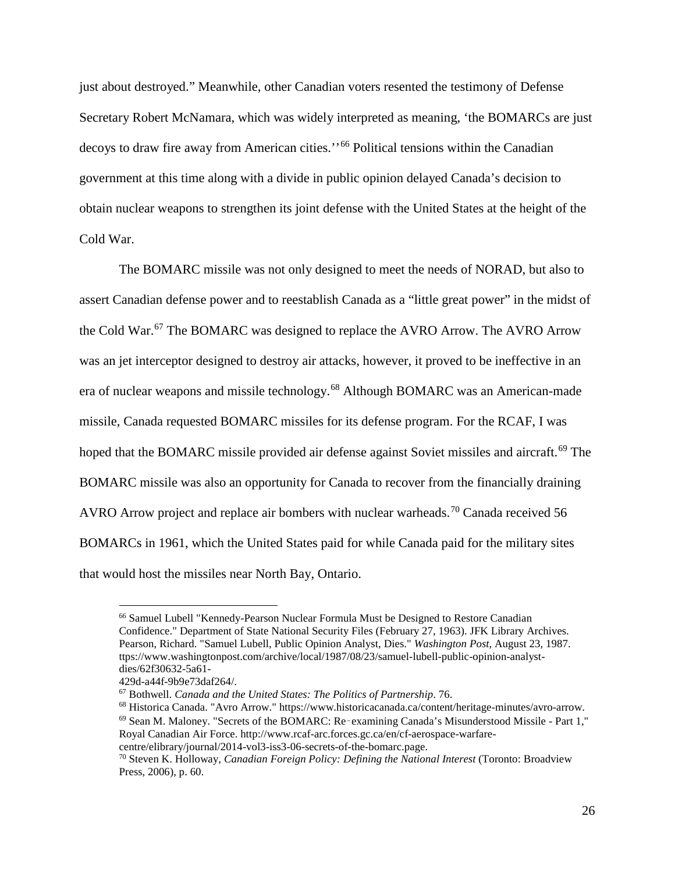just about destroyed." Meanwhile, other Canadian voters resented the testimony of Defense Secretary Robert McNamara, which was widely interpreted as meaning, 'the BOMARCs are just decoys to draw fire away from American cities.''[66](#page-26-0) Political tensions within the Canadian government at this time along with a divide in public opinion delayed Canada's decision to obtain nuclear weapons to strengthen its joint defense with the United States at the height of the Cold War.

The BOMARC missile was not only designed to meet the needs of NORAD, but also to assert Canadian defense power and to reestablish Canada as a "little great power" in the midst of the Cold War.<sup>[67](#page-26-1)</sup> The BOMARC was designed to replace the AVRO Arrow. The AVRO Arrow was an jet interceptor designed to destroy air attacks, however, it proved to be ineffective in an era of nuclear weapons and missile technology.[68](#page-26-2) Although BOMARC was an American-made missile, Canada requested BOMARC missiles for its defense program. For the RCAF, I was hoped that the BOMARC missile provided air defense against Soviet missiles and aircraft.<sup>[69](#page-26-3)</sup> The BOMARC missile was also an opportunity for Canada to recover from the financially draining AVRO Arrow project and replace air bombers with nuclear warheads.<sup>[70](#page-26-4)</sup> Canada received 56 BOMARCs in 1961, which the United States paid for while Canada paid for the military sites that would host the missiles near North Bay, Ontario.

<span id="page-26-0"></span> <sup>66</sup> Samuel Lubell "Kennedy-Pearson Nuclear Formula Must be Designed to Restore Canadian Confidence." Department of State National Security Files (February 27, 1963). JFK Library Archives. Pearson, Richard. "Samuel Lubell, Public Opinion Analyst, Dies." *Washington Post*, August 23, 1987. ttps://www.washingtonpost.com/archive/local/1987/08/23/samuel-lubell-public-opinion-analystdies/62f30632-5a61-

<span id="page-26-1"></span>

<span id="page-26-3"></span><span id="page-26-2"></span>

<sup>429</sup>d-a44f-9b9e73daf264/.<br><sup>67</sup> Bothwell. *Canada and the United States: The Politics of Partnership*. 76.<br><sup>68</sup> Historica Canada. "Avro Arrow." https://www.historicacanada.ca/content/heritage-minutes/avro-arrow.  $69$  Sean M. Maloney. "Secrets of the BOMARC: Re-examining Canada's Misunderstood Missile - Part 1," Royal Canadian Air Force. http://www.rcaf-arc.forces.gc.ca/en/cf-aerospace-warfare-

centre/elibrary/journal/2014-vol3-iss3-06-secrets-of-the-bomarc.page.

<span id="page-26-4"></span><sup>70</sup> Steven K. Holloway, *Canadian Foreign Policy: Defining the National Interest* (Toronto: Broadview Press, 2006), p. 60.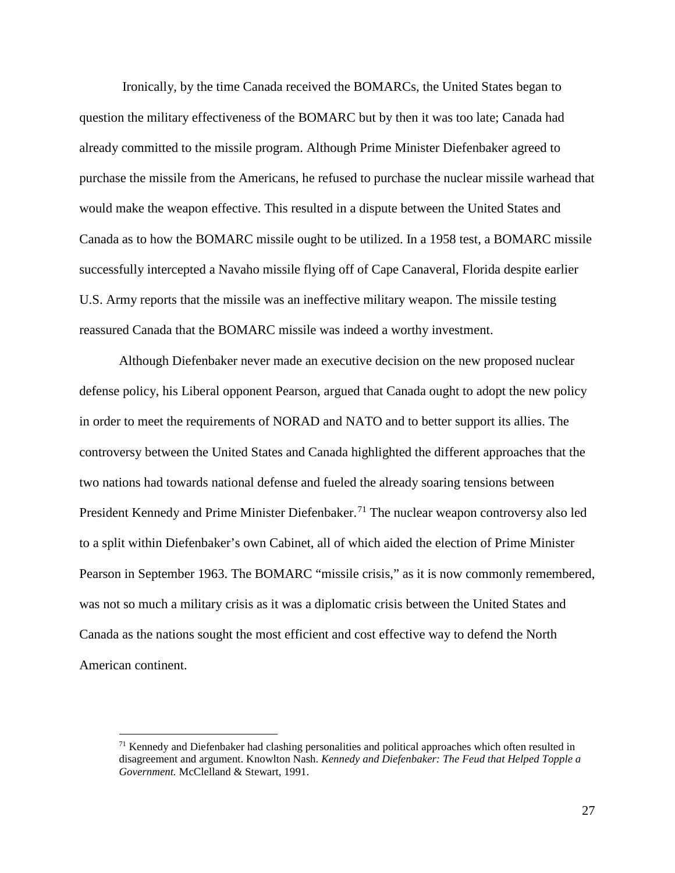Ironically, by the time Canada received the BOMARCs, the United States began to question the military effectiveness of the BOMARC but by then it was too late; Canada had already committed to the missile program. Although Prime Minister Diefenbaker agreed to purchase the missile from the Americans, he refused to purchase the nuclear missile warhead that would make the weapon effective. This resulted in a dispute between the United States and Canada as to how the BOMARC missile ought to be utilized. In a 1958 test, a BOMARC missile successfully intercepted a Navaho missile flying off of Cape Canaveral, Florida despite earlier U.S. Army reports that the missile was an ineffective military weapon. The missile testing reassured Canada that the BOMARC missile was indeed a worthy investment.

Although Diefenbaker never made an executive decision on the new proposed nuclear defense policy, his Liberal opponent Pearson, argued that Canada ought to adopt the new policy in order to meet the requirements of NORAD and NATO and to better support its allies. The controversy between the United States and Canada highlighted the different approaches that the two nations had towards national defense and fueled the already soaring tensions between President Kennedy and Prime Minister Diefenbaker.<sup>[71](#page-27-0)</sup> The nuclear weapon controversy also led to a split within Diefenbaker's own Cabinet, all of which aided the election of Prime Minister Pearson in September 1963. The BOMARC "missile crisis," as it is now commonly remembered, was not so much a military crisis as it was a diplomatic crisis between the United States and Canada as the nations sought the most efficient and cost effective way to defend the North American continent.

<span id="page-27-0"></span> $71$  Kennedy and Diefenbaker had clashing personalities and political approaches which often resulted in disagreement and argument. Knowlton Nash. *Kennedy and Diefenbaker: The Feud that Helped Topple a Government.* McClelland & Stewart, 1991.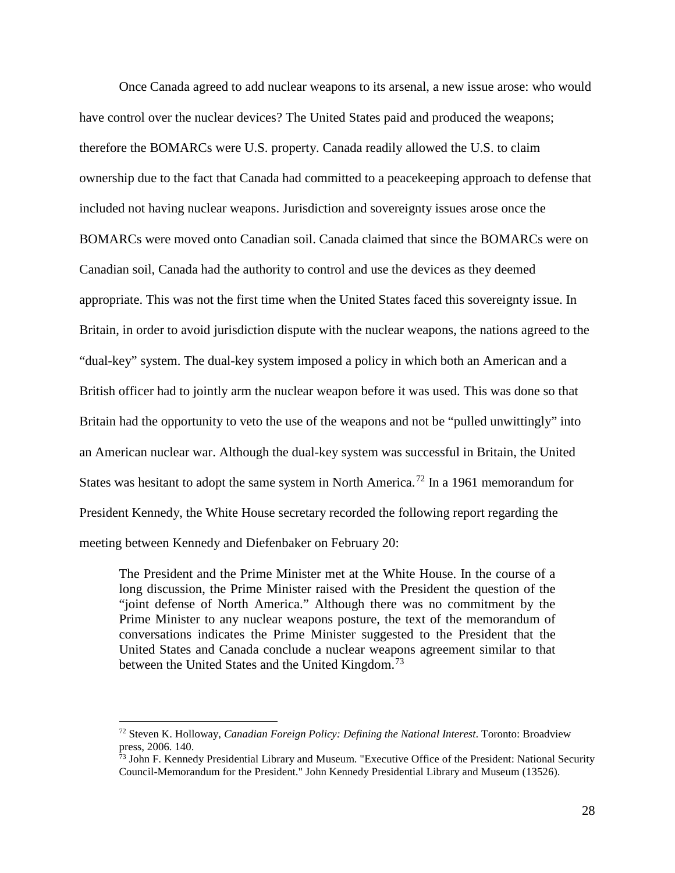Once Canada agreed to add nuclear weapons to its arsenal, a new issue arose: who would have control over the nuclear devices? The United States paid and produced the weapons; therefore the BOMARCs were U.S. property. Canada readily allowed the U.S. to claim ownership due to the fact that Canada had committed to a peacekeeping approach to defense that included not having nuclear weapons. Jurisdiction and sovereignty issues arose once the BOMARCs were moved onto Canadian soil. Canada claimed that since the BOMARCs were on Canadian soil, Canada had the authority to control and use the devices as they deemed appropriate. This was not the first time when the United States faced this sovereignty issue. In Britain, in order to avoid jurisdiction dispute with the nuclear weapons, the nations agreed to the "dual-key" system. The dual-key system imposed a policy in which both an American and a British officer had to jointly arm the nuclear weapon before it was used. This was done so that Britain had the opportunity to veto the use of the weapons and not be "pulled unwittingly" into an American nuclear war. Although the dual-key system was successful in Britain, the United States was hesitant to adopt the same system in North America.<sup>[72](#page-28-0)</sup> In a 1961 memorandum for President Kennedy, the White House secretary recorded the following report regarding the meeting between Kennedy and Diefenbaker on February 20:

The President and the Prime Minister met at the White House. In the course of a long discussion, the Prime Minister raised with the President the question of the "joint defense of North America." Although there was no commitment by the Prime Minister to any nuclear weapons posture, the text of the memorandum of conversations indicates the Prime Minister suggested to the President that the United States and Canada conclude a nuclear weapons agreement similar to that between the United States and the United Kingdom.<sup>[73](#page-28-1)</sup>

<span id="page-28-0"></span> <sup>72</sup> Steven K. Holloway, *Canadian Foreign Policy: Defining the National Interest*. Toronto: Broadview press, 2006. 140.

<span id="page-28-1"></span><sup>&</sup>lt;sup>73</sup> John F. Kennedy Presidential Library and Museum. "Executive Office of the President: National Security Council-Memorandum for the President." John Kennedy Presidential Library and Museum (13526).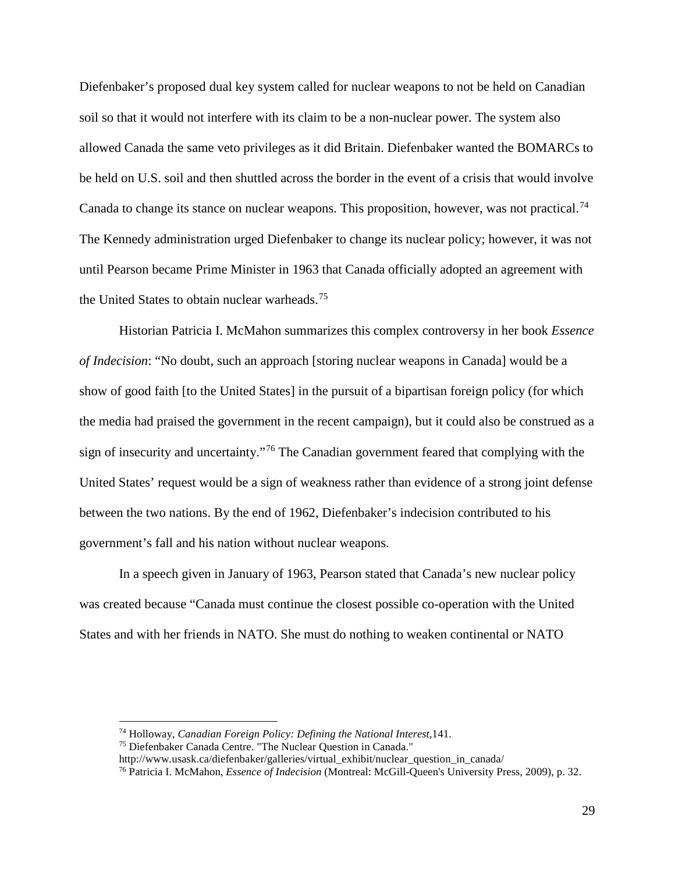Diefenbaker's proposed dual key system called for nuclear weapons to not be held on Canadian soil so that it would not interfere with its claim to be a non-nuclear power. The system also allowed Canada the same veto privileges as it did Britain. Diefenbaker wanted the BOMARCs to be held on U.S. soil and then shuttled across the border in the event of a crisis that would involve Canada to change its stance on nuclear weapons. This proposition, however, was not practical.<sup>[74](#page-29-0)</sup> The Kennedy administration urged Diefenbaker to change its nuclear policy; however, it was not until Pearson became Prime Minister in 1963 that Canada officially adopted an agreement with the United States to obtain nuclear warheads.<sup>[75](#page-29-1)</sup>

Historian Patricia I. McMahon summarizes this complex controversy in her book *Essence of Indecision*: "No doubt, such an approach [storing nuclear weapons in Canada] would be a show of good faith [to the United States] in the pursuit of a bipartisan foreign policy (for which the media had praised the government in the recent campaign), but it could also be construed as a sign of insecurity and uncertainty."[76](#page-29-2) The Canadian government feared that complying with the United States' request would be a sign of weakness rather than evidence of a strong joint defense between the two nations. By the end of 1962, Diefenbaker's indecision contributed to his government's fall and his nation without nuclear weapons.

In a speech given in January of 1963, Pearson stated that Canada's new nuclear policy was created because "Canada must continue the closest possible co-operation with the United States and with her friends in NATO. She must do nothing to weaken continental or NATO

<span id="page-29-0"></span> <sup>74</sup> Holloway, *Canadian Foreign Policy: Defining the National Interest*,141.

<span id="page-29-1"></span><sup>75</sup> Diefenbaker Canada Centre. "The Nuclear Question in Canada."

http://www.usask.ca/diefenbaker/galleries/virtual\_exhibit/nuclear\_question\_in\_canada/

<span id="page-29-2"></span><sup>76</sup> Patricia I. McMahon, *Essence of Indecision* (Montreal: McGill-Queen's University Press, 2009), p. 32.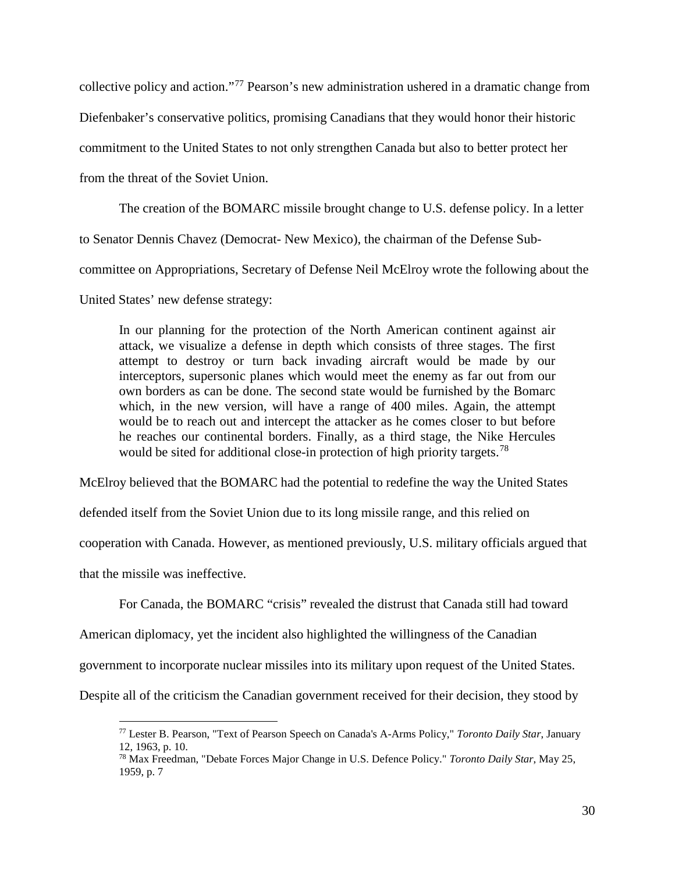collective policy and action."[77](#page-30-0) Pearson's new administration ushered in a dramatic change from

Diefenbaker's conservative politics, promising Canadians that they would honor their historic

commitment to the United States to not only strengthen Canada but also to better protect her

from the threat of the Soviet Union.

The creation of the BOMARC missile brought change to U.S. defense policy. In a letter

to Senator Dennis Chavez (Democrat- New Mexico), the chairman of the Defense Sub-

committee on Appropriations, Secretary of Defense Neil McElroy wrote the following about the

United States' new defense strategy:

In our planning for the protection of the North American continent against air attack, we visualize a defense in depth which consists of three stages. The first attempt to destroy or turn back invading aircraft would be made by our interceptors, supersonic planes which would meet the enemy as far out from our own borders as can be done. The second state would be furnished by the Bomarc which, in the new version, will have a range of 400 miles. Again, the attempt would be to reach out and intercept the attacker as he comes closer to but before he reaches our continental borders. Finally, as a third stage, the Nike Hercules would be sited for additional close-in protection of high priority targets.<sup>[78](#page-30-1)</sup>

McElroy believed that the BOMARC had the potential to redefine the way the United States

defended itself from the Soviet Union due to its long missile range, and this relied on

cooperation with Canada. However, as mentioned previously, U.S. military officials argued that

that the missile was ineffective.

For Canada, the BOMARC "crisis" revealed the distrust that Canada still had toward

American diplomacy, yet the incident also highlighted the willingness of the Canadian

government to incorporate nuclear missiles into its military upon request of the United States.

<span id="page-30-1"></span><span id="page-30-0"></span>Despite all of the criticism the Canadian government received for their decision, they stood by

 <sup>77</sup> Lester B. Pearson, "Text of Pearson Speech on Canada's A-Arms Policy," *Toronto Daily Star*, January 12, 1963, p. 10.

<sup>78</sup> Max Freedman, "Debate Forces Major Change in U.S. Defence Policy." *Toronto Daily Star*, May 25, 1959, p. 7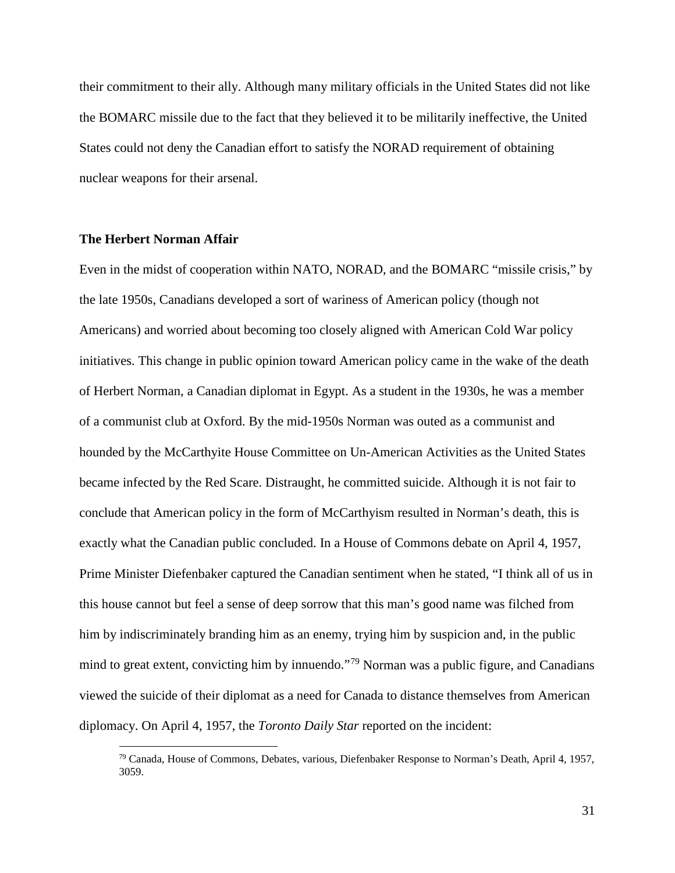their commitment to their ally. Although many military officials in the United States did not like the BOMARC missile due to the fact that they believed it to be militarily ineffective, the United States could not deny the Canadian effort to satisfy the NORAD requirement of obtaining nuclear weapons for their arsenal.

## **The Herbert Norman Affair**

Even in the midst of cooperation within NATO, NORAD, and the BOMARC "missile crisis," by the late 1950s, Canadians developed a sort of wariness of American policy (though not Americans) and worried about becoming too closely aligned with American Cold War policy initiatives. This change in public opinion toward American policy came in the wake of the death of Herbert Norman, a Canadian diplomat in Egypt. As a student in the 1930s, he was a member of a communist club at Oxford. By the mid-1950s Norman was outed as a communist and hounded by the McCarthyite House Committee on Un-American Activities as the United States became infected by the Red Scare. Distraught, he committed suicide. Although it is not fair to conclude that American policy in the form of McCarthyism resulted in Norman's death, this is exactly what the Canadian public concluded. In a House of Commons debate on April 4, 1957, Prime Minister Diefenbaker captured the Canadian sentiment when he stated, "I think all of us in this house cannot but feel a sense of deep sorrow that this man's good name was filched from him by indiscriminately branding him as an enemy, trying him by suspicion and, in the public mind to great extent, convicting him by innuendo."<sup>[79](#page-31-0)</sup> Norman was a public figure, and Canadians viewed the suicide of their diplomat as a need for Canada to distance themselves from American diplomacy. On April 4, 1957, the *Toronto Daily Star* reported on the incident:

<span id="page-31-0"></span> $79$  Canada, House of Commons, Debates, various, Diefenbaker Response to Norman's Death, April 4, 1957, 3059.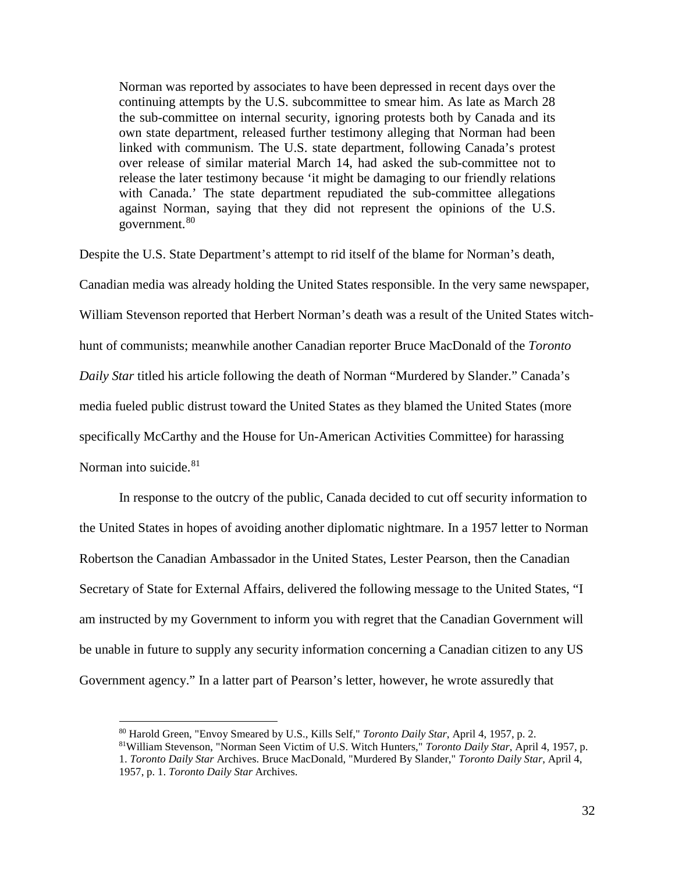Norman was reported by associates to have been depressed in recent days over the continuing attempts by the U.S. subcommittee to smear him. As late as March 28 the sub-committee on internal security, ignoring protests both by Canada and its own state department, released further testimony alleging that Norman had been linked with communism. The U.S. state department, following Canada's protest over release of similar material March 14, had asked the sub-committee not to release the later testimony because 'it might be damaging to our friendly relations with Canada.' The state department repudiated the sub-committee allegations against Norman, saying that they did not represent the opinions of the U.S. government. [80](#page-32-0)

Despite the U.S. State Department's attempt to rid itself of the blame for Norman's death, Canadian media was already holding the United States responsible. In the very same newspaper,

William Stevenson reported that Herbert Norman's death was a result of the United States witch-

hunt of communists; meanwhile another Canadian reporter Bruce MacDonald of the *Toronto* 

*Daily Star* titled his article following the death of Norman "Murdered by Slander." Canada's

media fueled public distrust toward the United States as they blamed the United States (more

specifically McCarthy and the House for Un-American Activities Committee) for harassing

## Norman into suicide.<sup>[81](#page-32-1)</sup>

In response to the outcry of the public, Canada decided to cut off security information to the United States in hopes of avoiding another diplomatic nightmare. In a 1957 letter to Norman Robertson the Canadian Ambassador in the United States, Lester Pearson, then the Canadian Secretary of State for External Affairs, delivered the following message to the United States, "I am instructed by my Government to inform you with regret that the Canadian Government will be unable in future to supply any security information concerning a Canadian citizen to any US Government agency." In a latter part of Pearson's letter, however, he wrote assuredly that

 <sup>80</sup> Harold Green, "Envoy Smeared by U.S., Kills Self," *Toronto Daily Star*, April 4, 1957, p. 2.

<span id="page-32-1"></span><span id="page-32-0"></span><sup>81</sup>William Stevenson, "Norman Seen Victim of U.S. Witch Hunters," *Toronto Daily Star*, April 4, 1957, p. 1. *Toronto Daily Star* Archives. Bruce MacDonald, "Murdered By Slander," *Toronto Daily Star*, April 4, 1957, p. 1. *Toronto Daily Star* Archives.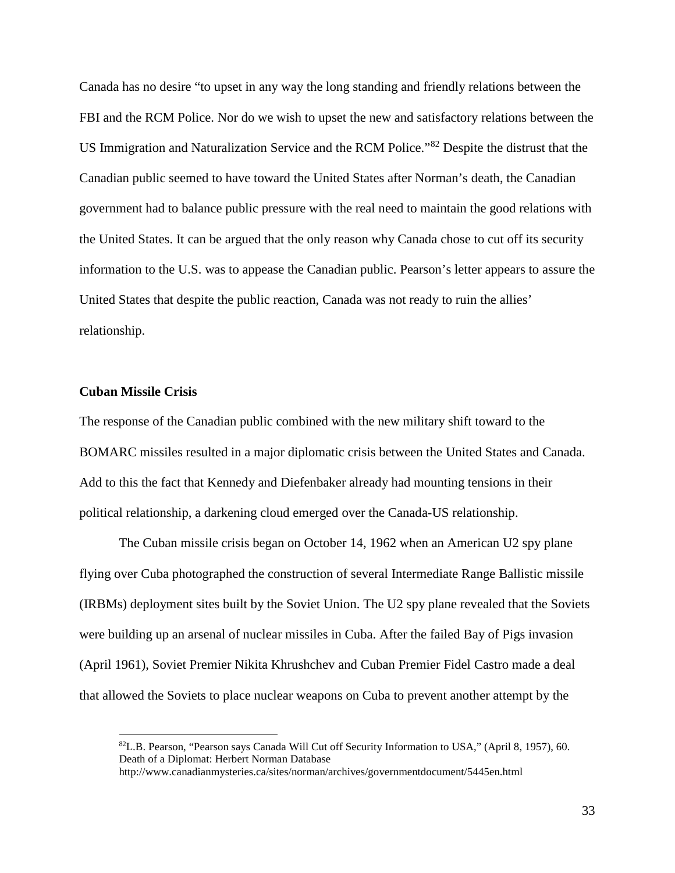Canada has no desire "to upset in any way the long standing and friendly relations between the FBI and the RCM Police. Nor do we wish to upset the new and satisfactory relations between the US Immigration and Naturalization Service and the RCM Police."[82](#page-33-0) Despite the distrust that the Canadian public seemed to have toward the United States after Norman's death, the Canadian government had to balance public pressure with the real need to maintain the good relations with the United States. It can be argued that the only reason why Canada chose to cut off its security information to the U.S. was to appease the Canadian public. Pearson's letter appears to assure the United States that despite the public reaction, Canada was not ready to ruin the allies' relationship.

## **Cuban Missile Crisis**

The response of the Canadian public combined with the new military shift toward to the BOMARC missiles resulted in a major diplomatic crisis between the United States and Canada. Add to this the fact that Kennedy and Diefenbaker already had mounting tensions in their political relationship, a darkening cloud emerged over the Canada-US relationship.

The Cuban missile crisis began on October 14, 1962 when an American U2 spy plane flying over Cuba photographed the construction of several Intermediate Range Ballistic missile (IRBMs) deployment sites built by the Soviet Union. The U2 spy plane revealed that the Soviets were building up an arsenal of nuclear missiles in Cuba. After the failed Bay of Pigs invasion (April 1961), Soviet Premier Nikita Khrushchev and Cuban Premier Fidel Castro made a deal that allowed the Soviets to place nuclear weapons on Cuba to prevent another attempt by the

<span id="page-33-0"></span> <sup>82</sup>L.B. Pearson, "Pearson says Canada Will Cut off Security Information to USA," (April 8, 1957), 60. Death of a Diplomat: Herbert Norman Database

http://www.canadianmysteries.ca/sites/norman/archives/governmentdocument/5445en.html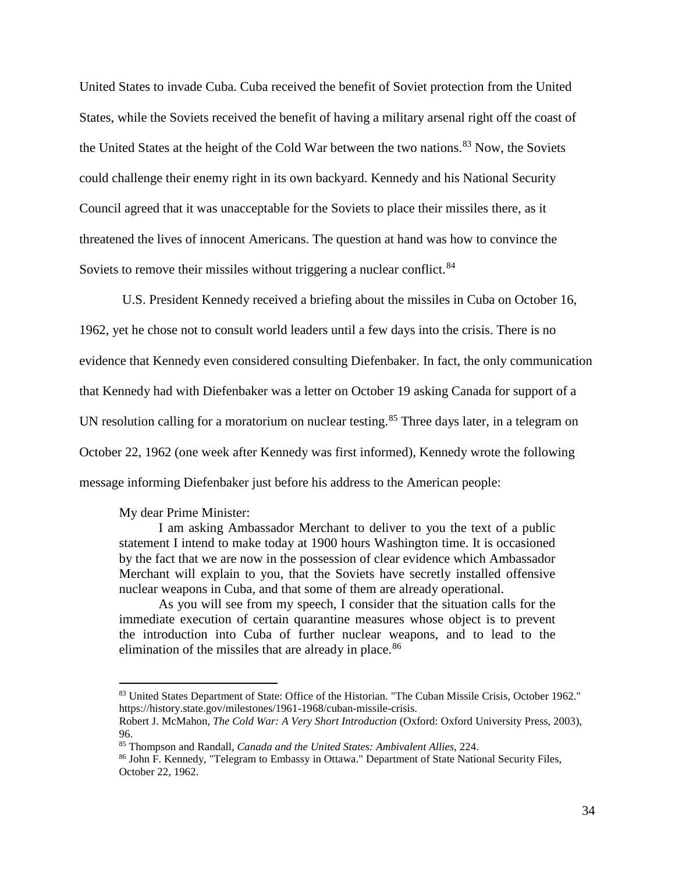United States to invade Cuba. Cuba received the benefit of Soviet protection from the United States, while the Soviets received the benefit of having a military arsenal right off the coast of the United States at the height of the Cold War between the two nations.<sup>[83](#page-34-0)</sup> Now, the Soviets could challenge their enemy right in its own backyard. Kennedy and his National Security Council agreed that it was unacceptable for the Soviets to place their missiles there, as it threatened the lives of innocent Americans. The question at hand was how to convince the Soviets to remove their missiles without triggering a nuclear conflict.<sup>[84](#page-34-1)</sup>

U.S. President Kennedy received a briefing about the missiles in Cuba on October 16, 1962, yet he chose not to consult world leaders until a few days into the crisis. There is no evidence that Kennedy even considered consulting Diefenbaker. In fact, the only communication that Kennedy had with Diefenbaker was a letter on October 19 asking Canada for support of a UN resolution calling for a moratorium on nuclear testing.<sup>[85](#page-34-2)</sup> Three days later, in a telegram on October 22, 1962 (one week after Kennedy was first informed), Kennedy wrote the following message informing Diefenbaker just before his address to the American people:

#### My dear Prime Minister:

I am asking Ambassador Merchant to deliver to you the text of a public statement I intend to make today at 1900 hours Washington time. It is occasioned by the fact that we are now in the possession of clear evidence which Ambassador Merchant will explain to you, that the Soviets have secretly installed offensive nuclear weapons in Cuba, and that some of them are already operational.

As you will see from my speech, I consider that the situation calls for the immediate execution of certain quarantine measures whose object is to prevent the introduction into Cuba of further nuclear weapons, and to lead to the elimination of the missiles that are already in place. $86$ 

<span id="page-34-0"></span> <sup>83</sup> United States Department of State: Office of the Historian. "The Cuban Missile Crisis, October 1962." https://history.state.gov/milestones/1961-1968/cuban-missile-crisis.

<span id="page-34-1"></span>Robert J. McMahon, *The Cold War: A Very Short Introduction* (Oxford: Oxford University Press, 2003), 96.<br><sup>85</sup> Thompson and Randall, *Canada and the United States: Ambivalent Allies*, 224.

<span id="page-34-3"></span><span id="page-34-2"></span>

<sup>&</sup>lt;sup>86</sup> John F. Kennedy, "Telegram to Embassy in Ottawa." Department of State National Security Files, October 22, 1962.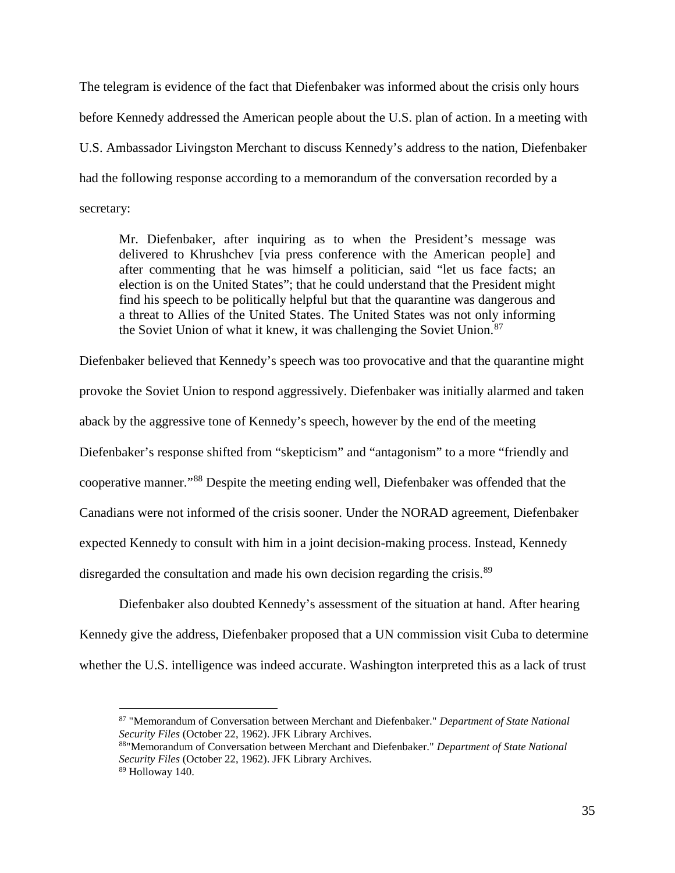The telegram is evidence of the fact that Diefenbaker was informed about the crisis only hours before Kennedy addressed the American people about the U.S. plan of action. In a meeting with U.S. Ambassador Livingston Merchant to discuss Kennedy's address to the nation, Diefenbaker had the following response according to a memorandum of the conversation recorded by a secretary:

Mr. Diefenbaker, after inquiring as to when the President's message was delivered to Khrushchev [via press conference with the American people] and after commenting that he was himself a politician, said "let us face facts; an election is on the United States"; that he could understand that the President might find his speech to be politically helpful but that the quarantine was dangerous and a threat to Allies of the United States. The United States was not only informing the Soviet Union of what it knew, it was challenging the Soviet Union.<sup>[87](#page-35-0)</sup>

Diefenbaker believed that Kennedy's speech was too provocative and that the quarantine might provoke the Soviet Union to respond aggressively. Diefenbaker was initially alarmed and taken aback by the aggressive tone of Kennedy's speech, however by the end of the meeting Diefenbaker's response shifted from "skepticism" and "antagonism" to a more "friendly and cooperative manner."[88](#page-35-1) Despite the meeting ending well, Diefenbaker was offended that the Canadians were not informed of the crisis sooner. Under the NORAD agreement, Diefenbaker expected Kennedy to consult with him in a joint decision-making process. Instead, Kennedy disregarded the consultation and made his own decision regarding the crisis.<sup>[89](#page-35-2)</sup>

Diefenbaker also doubted Kennedy's assessment of the situation at hand. After hearing Kennedy give the address, Diefenbaker proposed that a UN commission visit Cuba to determine whether the U.S. intelligence was indeed accurate. Washington interpreted this as a lack of trust

<span id="page-35-0"></span> <sup>87</sup> "Memorandum of Conversation between Merchant and Diefenbaker." *Department of State National* 

<span id="page-35-1"></span>*Security Files* (October 22, 1962). JFK Library Archives. 88"Memorandum of Conversation between Merchant and Diefenbaker." *Department of State National Security Files* (October 22, 1962). JFK Library Archives.

<span id="page-35-2"></span><sup>89</sup> Holloway 140.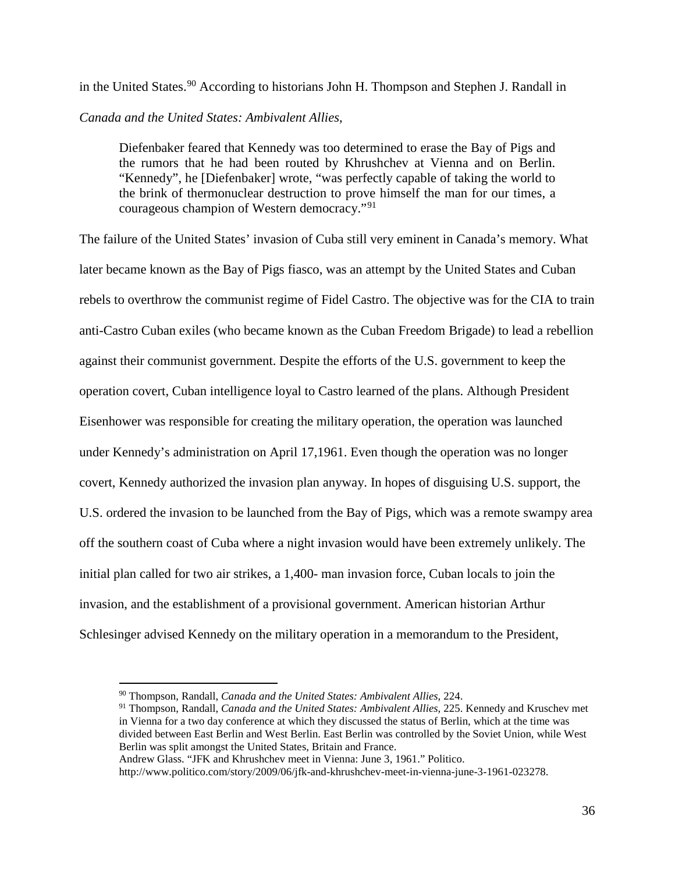in the United States.<sup>[90](#page-36-0)</sup> According to historians John H. Thompson and Stephen J. Randall in *Canada and the United States: Ambivalent Allies*,

Diefenbaker feared that Kennedy was too determined to erase the Bay of Pigs and the rumors that he had been routed by Khrushchev at Vienna and on Berlin. "Kennedy", he [Diefenbaker] wrote, "was perfectly capable of taking the world to the brink of thermonuclear destruction to prove himself the man for our times, a courageous champion of Western democracy."[91](#page-36-1)

The failure of the United States' invasion of Cuba still very eminent in Canada's memory. What later became known as the Bay of Pigs fiasco, was an attempt by the United States and Cuban rebels to overthrow the communist regime of Fidel Castro. The objective was for the CIA to train anti-Castro Cuban exiles (who became known as the Cuban Freedom Brigade) to lead a rebellion against their communist government. Despite the efforts of the U.S. government to keep the operation covert, Cuban intelligence loyal to Castro learned of the plans. Although President Eisenhower was responsible for creating the military operation, the operation was launched under Kennedy's administration on April 17,1961. Even though the operation was no longer covert, Kennedy authorized the invasion plan anyway. In hopes of disguising U.S. support, the U.S. ordered the invasion to be launched from the Bay of Pigs, which was a remote swampy area off the southern coast of Cuba where a night invasion would have been extremely unlikely. The initial plan called for two air strikes, a 1,400- man invasion force, Cuban locals to join the invasion, and the establishment of a provisional government. American historian Arthur Schlesinger advised Kennedy on the military operation in a memorandum to the President,

 <sup>90</sup> Thompson, Randall, *Canada and the United States: Ambivalent Allies*, 224.

<span id="page-36-1"></span><span id="page-36-0"></span><sup>91</sup> Thompson, Randall, *Canada and the United States: Ambivalent Allies,* 225. Kennedy and Kruschev met in Vienna for a two day conference at which they discussed the status of Berlin, which at the time was divided between East Berlin and West Berlin. East Berlin was controlled by the Soviet Union, while West Berlin was split amongst the United States, Britain and France.

Andrew Glass. "JFK and Khrushchev meet in Vienna: June 3, 1961." Politico.

[http://www.politico.com/story/2009/06/jfk-and-khrushchev-meet-in-v](http://www.politico.com/story/2009/06/jfk-and-khrushchev-meet-in-)ienna-june-3-1961-023278.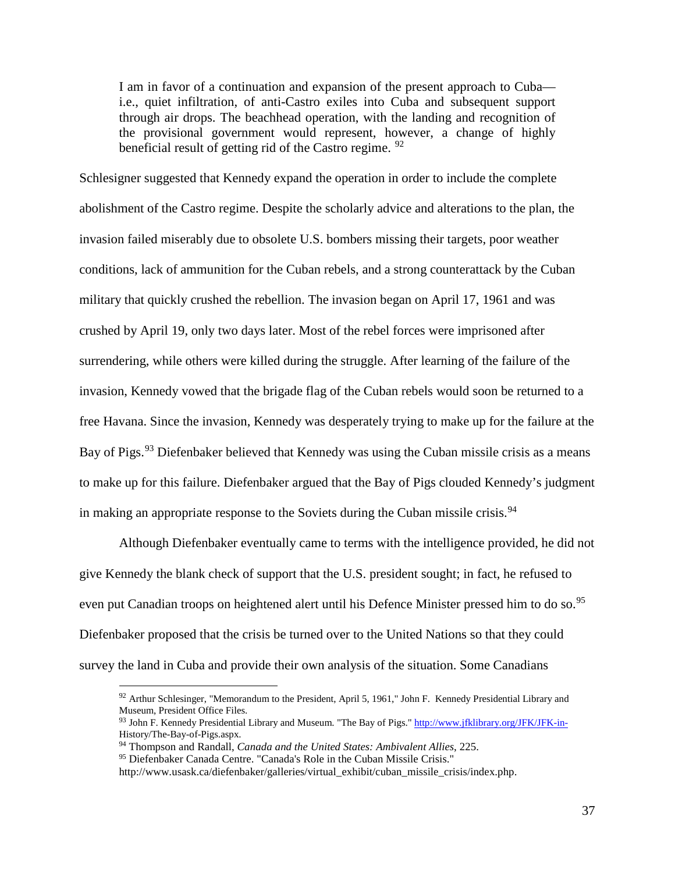I am in favor of a continuation and expansion of the present approach to Cuba i.e., quiet infiltration, of anti-Castro exiles into Cuba and subsequent support through air drops. The beachhead operation, with the landing and recognition of the provisional government would represent, however, a change of highly beneficial result of getting rid of the Castro regime. <sup>[92](#page-37-0)</sup>

Schlesigner suggested that Kennedy expand the operation in order to include the complete abolishment of the Castro regime. Despite the scholarly advice and alterations to the plan, the invasion failed miserably due to obsolete U.S. bombers missing their targets, poor weather conditions, lack of ammunition for the Cuban rebels, and a strong counterattack by the Cuban military that quickly crushed the rebellion. The invasion began on April 17, 1961 and was crushed by April 19, only two days later. Most of the rebel forces were imprisoned after surrendering, while others were killed during the struggle. After learning of the failure of the invasion, Kennedy vowed that the brigade flag of the Cuban rebels would soon be returned to a free Havana. Since the invasion, Kennedy was desperately trying to make up for the failure at the Bay of Pigs.<sup>[93](#page-37-1)</sup> Diefenbaker believed that Kennedy was using the Cuban missile crisis as a means to make up for this failure. Diefenbaker argued that the Bay of Pigs clouded Kennedy's judgment in making an appropriate response to the Soviets during the Cuban missile crisis.<sup>[94](#page-37-2)</sup>

Although Diefenbaker eventually came to terms with the intelligence provided, he did not give Kennedy the blank check of support that the U.S. president sought; in fact, he refused to even put Canadian troops on heightened alert until his Defence Minister pressed him to do so.<sup>[95](#page-37-3)</sup> Diefenbaker proposed that the crisis be turned over to the United Nations so that they could survey the land in Cuba and provide their own analysis of the situation. Some Canadians

<span id="page-37-0"></span> $92$  Arthur Schlesinger, "Memorandum to the President, April 5, 1961," John F. Kennedy Presidential Library and Museum, President Office Files.

<span id="page-37-1"></span><sup>93</sup> John F. Kennedy Presidential Library and Museum. "The Bay of Pigs."<http://www.jfklibrary.org/JFK/JFK-in->History/The-Bay-of-Pigs.aspx.

<sup>94</sup> Thompson and Randall, *Canada and the United States: Ambivalent Allies*, 225.

<span id="page-37-3"></span><span id="page-37-2"></span><sup>95</sup> Diefenbaker Canada Centre. "Canada's Role in the Cuban Missile Crisis."

http://www.usask.ca/diefenbaker/galleries/virtual\_exhibit/cuban\_missile\_crisis/index.php.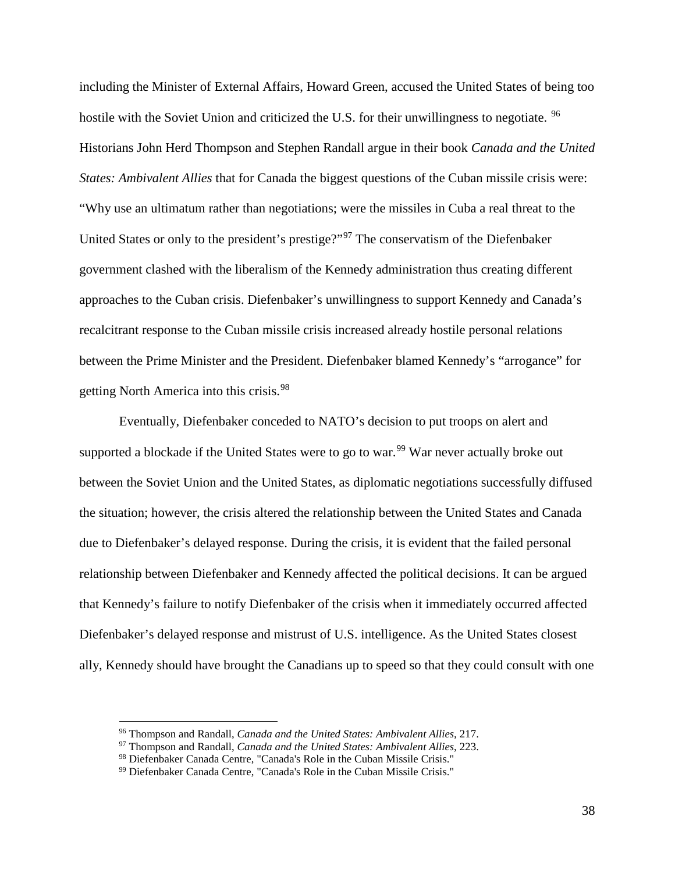including the Minister of External Affairs, Howard Green, accused the United States of being too hostile with the Soviet Union and criticized the U.S. for their unwillingness to negotiate. <sup>[96](#page-38-0)</sup> Historians John Herd Thompson and Stephen Randall argue in their book *Canada and the United States: Ambivalent Allies* that for Canada the biggest questions of the Cuban missile crisis were: "Why use an ultimatum rather than negotiations; were the missiles in Cuba a real threat to the United States or only to the president's prestige?"[97](#page-38-1) The conservatism of the Diefenbaker government clashed with the liberalism of the Kennedy administration thus creating different approaches to the Cuban crisis. Diefenbaker's unwillingness to support Kennedy and Canada's recalcitrant response to the Cuban missile crisis increased already hostile personal relations between the Prime Minister and the President. Diefenbaker blamed Kennedy's "arrogance" for getting North America into this crisis.<sup>[98](#page-38-2)</sup>

Eventually, Diefenbaker conceded to NATO's decision to put troops on alert and supported a blockade if the United States were to go to war.<sup>[99](#page-38-3)</sup> War never actually broke out between the Soviet Union and the United States, as diplomatic negotiations successfully diffused the situation; however, the crisis altered the relationship between the United States and Canada due to Diefenbaker's delayed response. During the crisis, it is evident that the failed personal relationship between Diefenbaker and Kennedy affected the political decisions. It can be argued that Kennedy's failure to notify Diefenbaker of the crisis when it immediately occurred affected Diefenbaker's delayed response and mistrust of U.S. intelligence. As the United States closest ally, Kennedy should have brought the Canadians up to speed so that they could consult with one

<span id="page-38-0"></span> <sup>96</sup> Thompson and Randall, *Canada and the United States: Ambivalent Allies,* 217.

<span id="page-38-1"></span><sup>97</sup> Thompson and Randall, *Canada and the United States: Ambivalent Allies*, 223.

<span id="page-38-2"></span><sup>98</sup> Diefenbaker Canada Centre, "Canada's Role in the Cuban Missile Crisis."

<span id="page-38-3"></span><sup>99</sup> Diefenbaker Canada Centre, "Canada's Role in the Cuban Missile Crisis."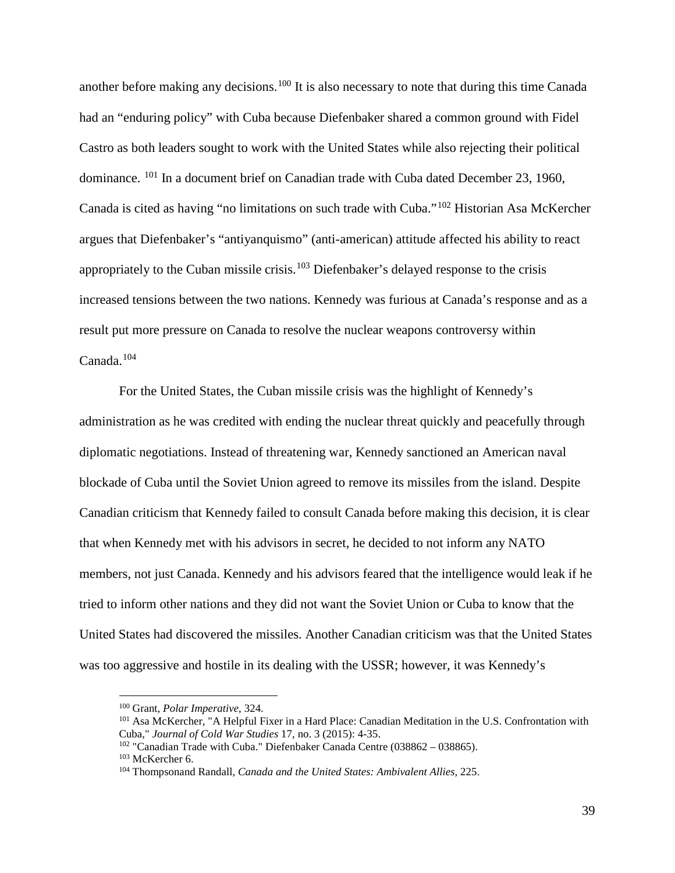another before making any decisions.<sup>[100](#page-39-0)</sup> It is also necessary to note that during this time Canada had an "enduring policy" with Cuba because Diefenbaker shared a common ground with Fidel Castro as both leaders sought to work with the United States while also rejecting their political dominance. [101](#page-39-1) In a document brief on Canadian trade with Cuba dated December 23, 1960, Canada is cited as having "no limitations on such trade with Cuba."[102](#page-39-2) Historian Asa McKercher argues that Diefenbaker's "antiyanquismo" (anti-american) attitude affected his ability to react appropriately to the Cuban missile crisis.<sup>[103](#page-39-3)</sup> Diefenbaker's delayed response to the crisis increased tensions between the two nations. Kennedy was furious at Canada's response and as a result put more pressure on Canada to resolve the nuclear weapons controversy within Canada.[104](#page-39-4)

For the United States, the Cuban missile crisis was the highlight of Kennedy's administration as he was credited with ending the nuclear threat quickly and peacefully through diplomatic negotiations. Instead of threatening war, Kennedy sanctioned an American naval blockade of Cuba until the Soviet Union agreed to remove its missiles from the island. Despite Canadian criticism that Kennedy failed to consult Canada before making this decision, it is clear that when Kennedy met with his advisors in secret, he decided to not inform any NATO members, not just Canada. Kennedy and his advisors feared that the intelligence would leak if he tried to inform other nations and they did not want the Soviet Union or Cuba to know that the United States had discovered the missiles. Another Canadian criticism was that the United States was too aggressive and hostile in its dealing with the USSR; however, it was Kennedy's

<span id="page-39-1"></span><span id="page-39-0"></span><sup>&</sup>lt;sup>100</sup> Grant, *Polar Imperative*, 324.<br><sup>101</sup> Asa McKercher, "A Helpful Fixer in a Hard Place: Canadian Meditation in the U.S. Confrontation with Cuba," *Journal of Cold War Studies* 17, no. 3 (2015): 4-35.

<span id="page-39-2"></span><sup>&</sup>lt;sup>102</sup> "Canadian Trade with Cuba." Diefenbaker Canada Centre (038862 – 038865).<br><sup>103</sup> McKercher 6.

<span id="page-39-4"></span><span id="page-39-3"></span><sup>&</sup>lt;sup>104</sup> Thompsonand Randall, *Canada and the United States: Ambivalent Allies*, 225.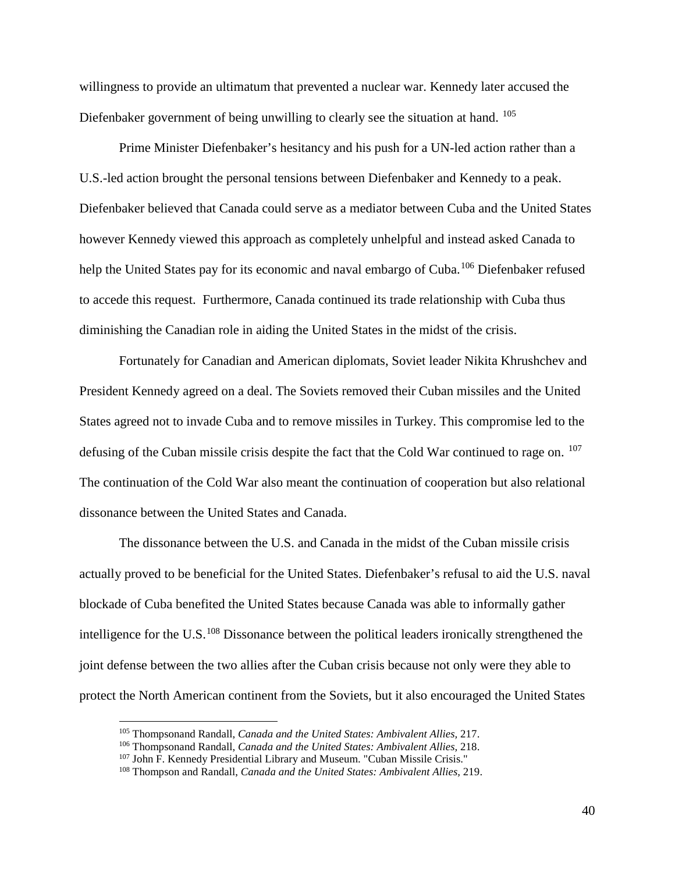willingness to provide an ultimatum that prevented a nuclear war. Kennedy later accused the Diefenbaker government of being unwilling to clearly see the situation at hand. <sup>[105](#page-40-0)</sup>

Prime Minister Diefenbaker's hesitancy and his push for a UN-led action rather than a U.S.-led action brought the personal tensions between Diefenbaker and Kennedy to a peak. Diefenbaker believed that Canada could serve as a mediator between Cuba and the United States however Kennedy viewed this approach as completely unhelpful and instead asked Canada to help the United States pay for its economic and naval embargo of Cuba.<sup>[106](#page-40-1)</sup> Diefenbaker refused to accede this request. Furthermore, Canada continued its trade relationship with Cuba thus diminishing the Canadian role in aiding the United States in the midst of the crisis.

Fortunately for Canadian and American diplomats, Soviet leader Nikita Khrushchev and President Kennedy agreed on a deal. The Soviets removed their Cuban missiles and the United States agreed not to invade Cuba and to remove missiles in Turkey. This compromise led to the defusing of the Cuban missile crisis despite the fact that the Cold War continued to rage on. <sup>[107](#page-40-2)</sup> The continuation of the Cold War also meant the continuation of cooperation but also relational dissonance between the United States and Canada.

The dissonance between the U.S. and Canada in the midst of the Cuban missile crisis actually proved to be beneficial for the United States. Diefenbaker's refusal to aid the U.S. naval blockade of Cuba benefited the United States because Canada was able to informally gather intelligence for the U.S. $^{108}$  $^{108}$  $^{108}$  Dissonance between the political leaders ironically strengthened the joint defense between the two allies after the Cuban crisis because not only were they able to protect the North American continent from the Soviets, but it also encouraged the United States

<span id="page-40-1"></span><span id="page-40-0"></span><sup>105</sup> Thompsonand Randall, *Canada and the United States: Ambivalent Allies,* 217. 106 Thompsonand Randall, *Canada and the United States: Ambivalent Allies,* 218.

<span id="page-40-2"></span><sup>&</sup>lt;sup>107</sup> John F. Kennedy Presidential Library and Museum. "Cuban Missile Crisis."

<span id="page-40-3"></span><sup>108</sup> Thompson and Randall, *Canada and the United States: Ambivalent Allies,* 219.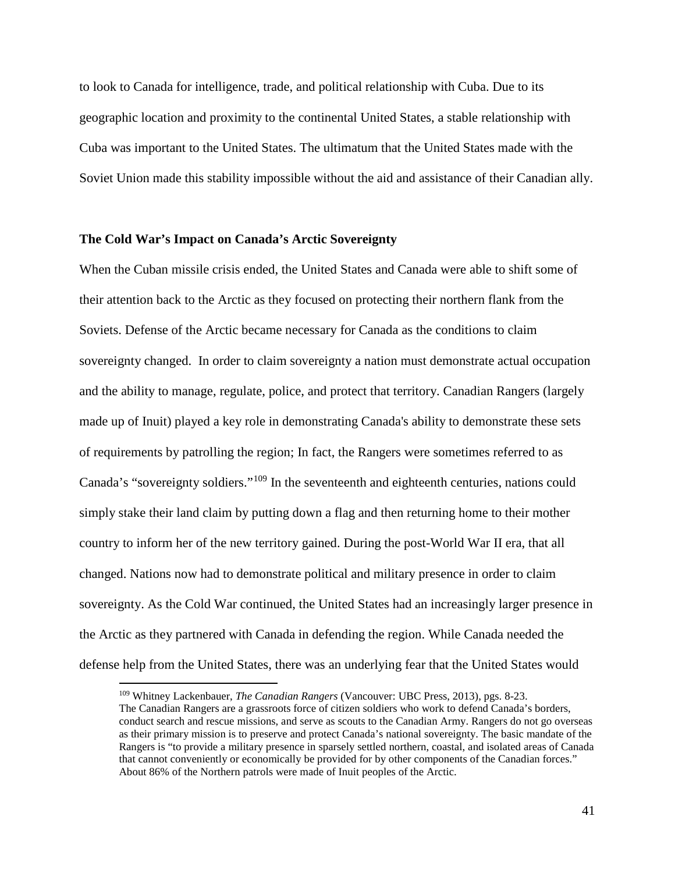to look to Canada for intelligence, trade, and political relationship with Cuba. Due to its geographic location and proximity to the continental United States, a stable relationship with Cuba was important to the United States. The ultimatum that the United States made with the Soviet Union made this stability impossible without the aid and assistance of their Canadian ally.

## **The Cold War's Impact on Canada's Arctic Sovereignty**

When the Cuban missile crisis ended, the United States and Canada were able to shift some of their attention back to the Arctic as they focused on protecting their northern flank from the Soviets. Defense of the Arctic became necessary for Canada as the conditions to claim sovereignty changed. In order to claim sovereignty a nation must demonstrate actual occupation and the ability to manage, regulate, police, and protect that territory. Canadian Rangers (largely made up of Inuit) played a key role in demonstrating Canada's ability to demonstrate these sets of requirements by patrolling the region; In fact, the Rangers were sometimes referred to as Canada's "sovereignty soldiers."[109](#page-41-0) In the seventeenth and eighteenth centuries, nations could simply stake their land claim by putting down a flag and then returning home to their mother country to inform her of the new territory gained. During the post-World War II era, that all changed. Nations now had to demonstrate political and military presence in order to claim sovereignty. As the Cold War continued, the United States had an increasingly larger presence in the Arctic as they partnered with Canada in defending the region. While Canada needed the defense help from the United States, there was an underlying fear that the United States would

<span id="page-41-0"></span> <sup>109</sup> Whitney Lackenbauer, *The Canadian Rangers* (Vancouver: UBC Press, 2013), pgs. 8-23.

The Canadian Rangers are a grassroots force of citizen soldiers who work to defend Canada's borders, conduct search and rescue missions, and serve as scouts to the Canadian Army. Rangers do not go overseas as their primary mission is to preserve and protect Canada's national sovereignty. The basic mandate of the Rangers is "to provide a military presence in sparsely settled northern, coastal, and isolated areas of Canada that cannot conveniently or economically be provided for by other components of the Canadian forces." About 86% of the Northern patrols were made of Inuit peoples of the Arctic.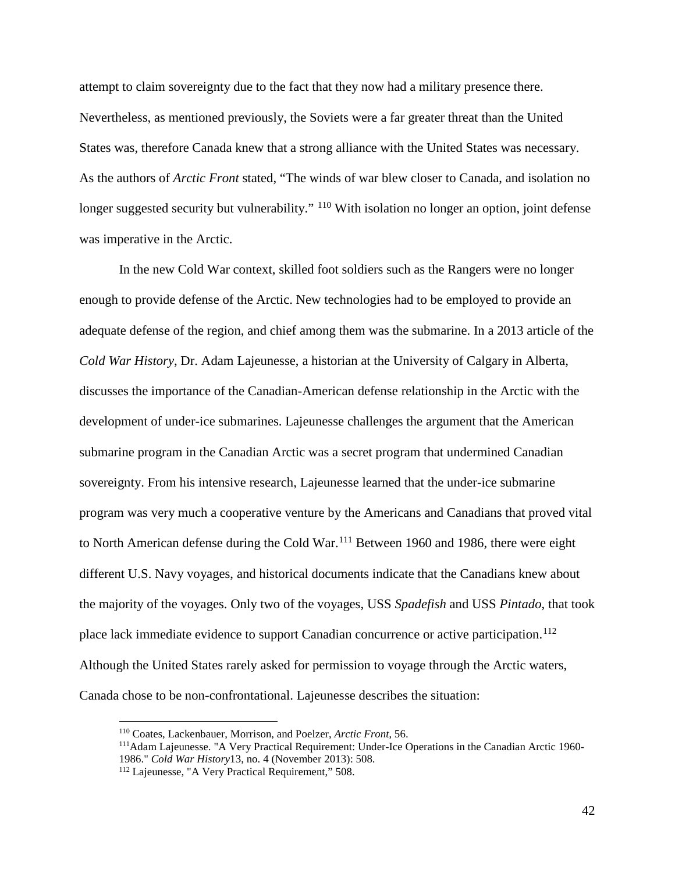attempt to claim sovereignty due to the fact that they now had a military presence there. Nevertheless, as mentioned previously, the Soviets were a far greater threat than the United States was, therefore Canada knew that a strong alliance with the United States was necessary. As the authors of *Arctic Front* stated, "The winds of war blew closer to Canada, and isolation no longer suggested security but vulnerability." <sup>[110](#page-42-0)</sup> With isolation no longer an option, joint defense was imperative in the Arctic.

In the new Cold War context, skilled foot soldiers such as the Rangers were no longer enough to provide defense of the Arctic. New technologies had to be employed to provide an adequate defense of the region, and chief among them was the submarine. In a 2013 article of the *Cold War History*, Dr. Adam Lajeunesse, a historian at the University of Calgary in Alberta, discusses the importance of the Canadian-American defense relationship in the Arctic with the development of under-ice submarines. Lajeunesse challenges the argument that the American submarine program in the Canadian Arctic was a secret program that undermined Canadian sovereignty. From his intensive research, Lajeunesse learned that the under-ice submarine program was very much a cooperative venture by the Americans and Canadians that proved vital to North American defense during the Cold War.<sup>[111](#page-42-1)</sup> Between 1960 and 1986, there were eight different U.S. Navy voyages, and historical documents indicate that the Canadians knew about the majority of the voyages. Only two of the voyages, USS *Spadefish* and USS *Pintado*, that took place lack immediate evidence to support Canadian concurrence or active participation.<sup>[112](#page-42-2)</sup> Although the United States rarely asked for permission to voyage through the Arctic waters, Canada chose to be non-confrontational. Lajeunesse describes the situation:

<span id="page-42-1"></span><span id="page-42-0"></span>

<sup>&</sup>lt;sup>110</sup> Coates, Lackenbauer, Morrison, and Poelzer, *Arctic Front*, 56.<br><sup>111</sup>Adam Lajeunesse. "A Very Practical Requirement: Under-Ice Operations in the Canadian Arctic 1960-1986." *Cold War History*13, no. 4 (November 2013): 508.

<span id="page-42-2"></span><sup>112</sup> Lajeunesse, "A Very Practical Requirement," 508.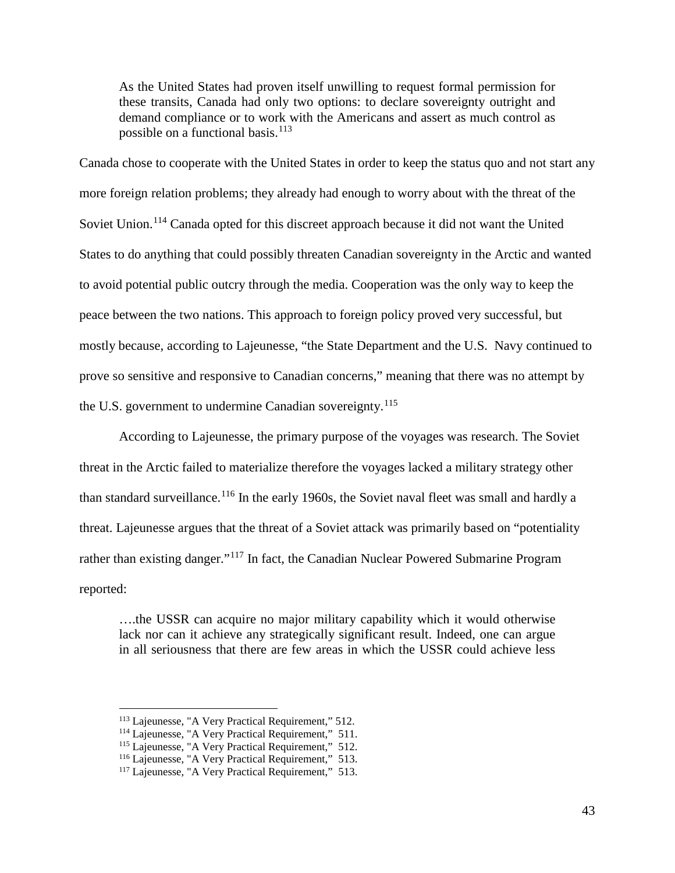As the United States had proven itself unwilling to request formal permission for these transits, Canada had only two options: to declare sovereignty outright and demand compliance or to work with the Americans and assert as much control as possible on a functional basis.<sup>[113](#page-43-0)</sup>

Canada chose to cooperate with the United States in order to keep the status quo and not start any more foreign relation problems; they already had enough to worry about with the threat of the Soviet Union.<sup>[114](#page-43-1)</sup> Canada opted for this discreet approach because it did not want the United States to do anything that could possibly threaten Canadian sovereignty in the Arctic and wanted to avoid potential public outcry through the media. Cooperation was the only way to keep the peace between the two nations. This approach to foreign policy proved very successful, but mostly because, according to Lajeunesse, "the State Department and the U.S. Navy continued to prove so sensitive and responsive to Canadian concerns," meaning that there was no attempt by the U.S. government to undermine Canadian sovereignty.<sup>[115](#page-43-2)</sup>

According to Lajeunesse, the primary purpose of the voyages was research. The Soviet threat in the Arctic failed to materialize therefore the voyages lacked a military strategy other than standard surveillance.<sup>[116](#page-43-3)</sup> In the early 1960s, the Soviet naval fleet was small and hardly a threat. Lajeunesse argues that the threat of a Soviet attack was primarily based on "potentiality rather than existing danger."<sup>[117](#page-43-4)</sup> In fact, the Canadian Nuclear Powered Submarine Program reported:

….the USSR can acquire no major military capability which it would otherwise lack nor can it achieve any strategically significant result. Indeed, one can argue in all seriousness that there are few areas in which the USSR could achieve less

<span id="page-43-1"></span><span id="page-43-0"></span><sup>&</sup>lt;sup>113</sup> Lajeunesse, "A Very Practical Requirement," 512.<br><sup>114</sup> Lajeunesse, "A Very Practical Requirement," 511.

<span id="page-43-2"></span><sup>&</sup>lt;sup>115</sup> Lajeunesse, "A Very Practical Requirement," 512.<br><sup>116</sup> Lajeunesse, "A Very Practical Requirement," 513.<br><sup>117</sup> Lajeunesse, "A Very Practical Requirement," 513.

<span id="page-43-4"></span><span id="page-43-3"></span>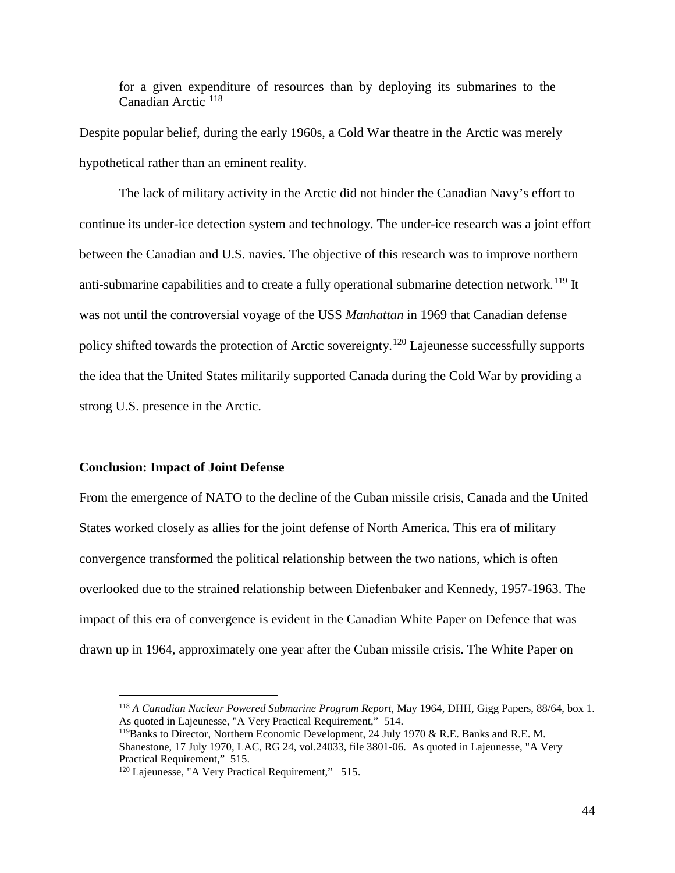for a given expenditure of resources than by deploying its submarines to the Canadian Arctic [118](#page-44-0)

Despite popular belief, during the early 1960s, a Cold War theatre in the Arctic was merely hypothetical rather than an eminent reality.

The lack of military activity in the Arctic did not hinder the Canadian Navy's effort to continue its under-ice detection system and technology. The under-ice research was a joint effort between the Canadian and U.S. navies. The objective of this research was to improve northern anti-submarine capabilities and to create a fully operational submarine detection network.<sup>[119](#page-44-1)</sup> It was not until the controversial voyage of the USS *Manhattan* in 1969 that Canadian defense policy shifted towards the protection of Arctic sovereignty.[120](#page-44-2) Lajeunesse successfully supports the idea that the United States militarily supported Canada during the Cold War by providing a strong U.S. presence in the Arctic.

#### **Conclusion: Impact of Joint Defense**

From the emergence of NATO to the decline of the Cuban missile crisis, Canada and the United States worked closely as allies for the joint defense of North America. This era of military convergence transformed the political relationship between the two nations, which is often overlooked due to the strained relationship between Diefenbaker and Kennedy, 1957-1963. The impact of this era of convergence is evident in the Canadian White Paper on Defence that was drawn up in 1964, approximately one year after the Cuban missile crisis. The White Paper on

<span id="page-44-1"></span><span id="page-44-0"></span> <sup>118</sup> *A Canadian Nuclear Powered Submarine Program Report*, May 1964, DHH, Gigg Papers, 88/64, box 1. As quoted in Lajeunesse, "A Very Practical Requirement," 514.

<sup>&</sup>lt;sup>119</sup>Banks to Director, Northern Economic Development, 24 July 1970 & R.E. Banks and R.E. M. Shanestone, 17 July 1970, LAC, RG 24, vol.24033, file 3801-06. As quoted in Lajeunesse, "A Very Practical Requirement," 515.<br><sup>120</sup> Lajeunesse, "A Very Practical Requirement," 515.

<span id="page-44-2"></span>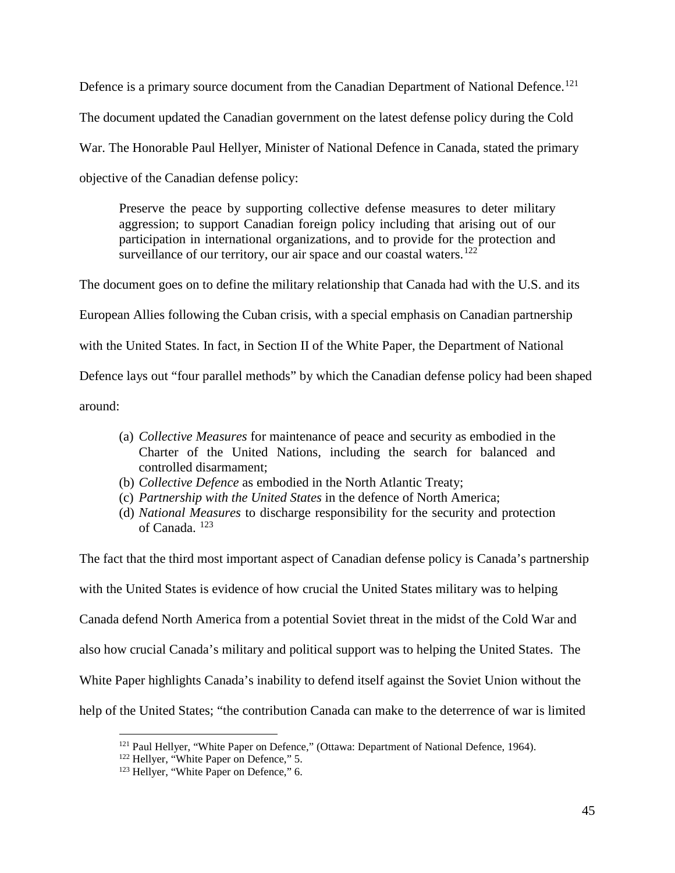Defence is a primary source document from the Canadian Department of National Defence.<sup>[121](#page-45-0)</sup> The document updated the Canadian government on the latest defense policy during the Cold War. The Honorable Paul Hellyer, Minister of National Defence in Canada, stated the primary objective of the Canadian defense policy:

Preserve the peace by supporting collective defense measures to deter military aggression; to support Canadian foreign policy including that arising out of our participation in international organizations, and to provide for the protection and surveillance of our territory, our air space and our coastal waters.<sup>[122](#page-45-1)</sup>

The document goes on to define the military relationship that Canada had with the U.S. and its European Allies following the Cuban crisis, with a special emphasis on Canadian partnership with the United States. In fact, in Section II of the White Paper, the Department of National Defence lays out "four parallel methods" by which the Canadian defense policy had been shaped around:

- (a) *Collective Measures* for maintenance of peace and security as embodied in the Charter of the United Nations, including the search for balanced and controlled disarmament;
- (b) *Collective Defence* as embodied in the North Atlantic Treaty;
- (c) *Partnership with the United States* in the defence of North America;
- (d) *National Measures* to discharge responsibility for the security and protection of Canada. [123](#page-45-2)

The fact that the third most important aspect of Canadian defense policy is Canada's partnership with the United States is evidence of how crucial the United States military was to helping Canada defend North America from a potential Soviet threat in the midst of the Cold War and also how crucial Canada's military and political support was to helping the United States. The White Paper highlights Canada's inability to defend itself against the Soviet Union without the help of the United States; "the contribution Canada can make to the deterrence of war is limited

<span id="page-45-0"></span><sup>&</sup>lt;sup>121</sup> Paul Hellyer, "White Paper on Defence," (Ottawa: Department of National Defence, 1964).<br><sup>122</sup> Hellyer, "White Paper on Defence," 5.

<span id="page-45-2"></span><span id="page-45-1"></span><sup>&</sup>lt;sup>123</sup> Hellyer, "White Paper on Defence," 6.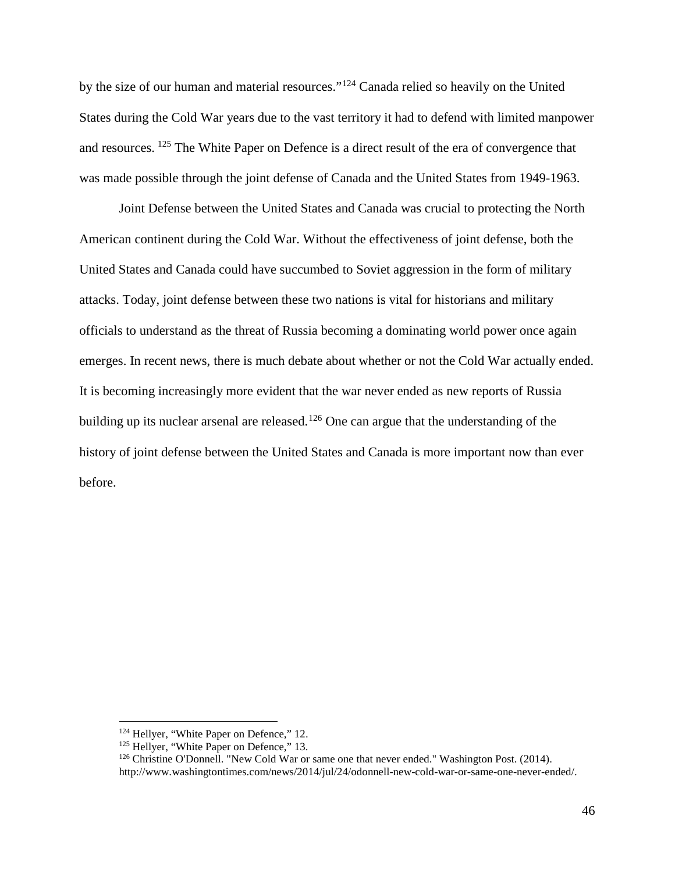by the size of our human and material resources."[124](#page-46-0) Canada relied so heavily on the United States during the Cold War years due to the vast territory it had to defend with limited manpower and resources. <sup>[125](#page-46-1)</sup> The White Paper on Defence is a direct result of the era of convergence that was made possible through the joint defense of Canada and the United States from 1949-1963.

Joint Defense between the United States and Canada was crucial to protecting the North American continent during the Cold War. Without the effectiveness of joint defense, both the United States and Canada could have succumbed to Soviet aggression in the form of military attacks. Today, joint defense between these two nations is vital for historians and military officials to understand as the threat of Russia becoming a dominating world power once again emerges. In recent news, there is much debate about whether or not the Cold War actually ended. It is becoming increasingly more evident that the war never ended as new reports of Russia building up its nuclear arsenal are released.<sup>[126](#page-46-2)</sup> One can argue that the understanding of the history of joint defense between the United States and Canada is more important now than ever before.

<span id="page-46-0"></span><sup>&</sup>lt;sup>124</sup> Hellyer, "White Paper on Defence," 12.<br><sup>125</sup> Hellyer, "White Paper on Defence," 13.

<span id="page-46-1"></span>

 $126$  Christine O'Donnell. "New Cold War or same one that never ended." Washington Post. (2014).

<span id="page-46-2"></span>http://www.washingtontimes.com/news/2014/jul/24/odonnell-new-cold-war-or-same-one-never-ended/.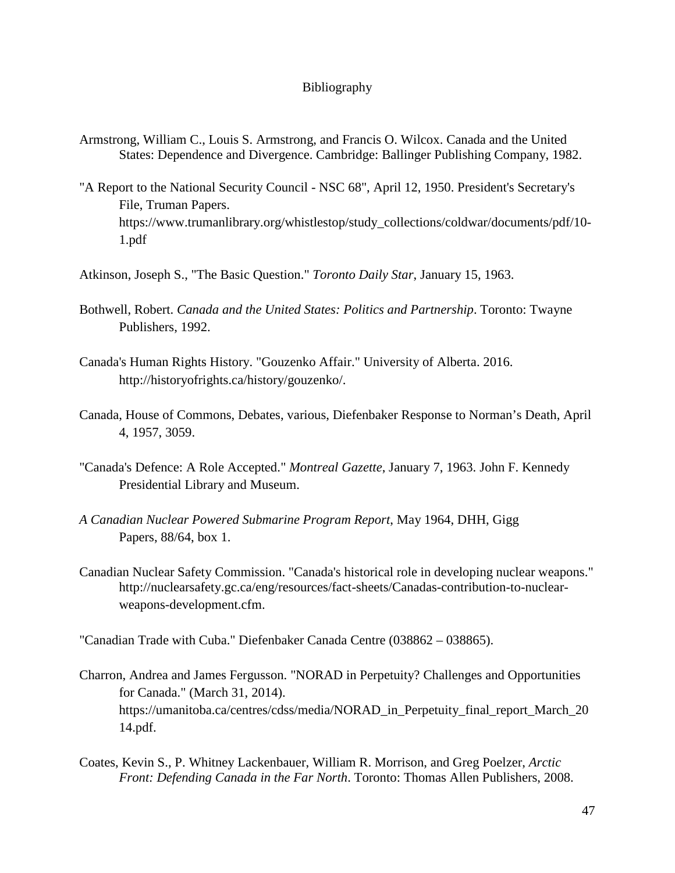## Bibliography

- Armstrong, William C., Louis S. Armstrong, and Francis O. Wilcox. Canada and the United States: Dependence and Divergence. Cambridge: Ballinger Publishing Company, 1982.
- "A Report to the National Security Council NSC 68", April 12, 1950. President's Secretary's File, Truman Papers. https://www.trumanlibrary.org/whistlestop/study\_collections/coldwar/documents/pdf/10- 1.pdf
- Atkinson, Joseph S., "The Basic Question." *Toronto Daily Star*, January 15, 1963.
- Bothwell, Robert. *Canada and the United States: Politics and Partnership*. Toronto: Twayne Publishers, 1992.
- Canada's Human Rights History. "Gouzenko Affair." University of Alberta. 2016. http://historyofrights.ca/history/gouzenko/.
- Canada, House of Commons, Debates, various, Diefenbaker Response to Norman's Death, April 4, 1957, 3059.
- "Canada's Defence: A Role Accepted." *Montreal Gazette*, January 7, 1963. John F. Kennedy Presidential Library and Museum.
- *A Canadian Nuclear Powered Submarine Program Report*, May 1964, DHH, Gigg Papers, 88/64, box 1.
- Canadian Nuclear Safety Commission. "Canada's historical role in developing nuclear weapons." http://nuclearsafety.gc.ca/eng/resources/fact-sheets/Canadas-contribution-to-nuclearweapons-development.cfm.

"Canadian Trade with Cuba." Diefenbaker Canada Centre (038862 – 038865).

- Charron, Andrea and James Fergusson. "NORAD in Perpetuity? Challenges and Opportunities for Canada." (March 31, 2014). https://umanitoba.ca/centres/cdss/media/NORAD\_in\_Perpetuity\_final\_report\_March\_20 14.pdf.
- Coates, Kevin S., P. Whitney Lackenbauer, William R. Morrison, and Greg Poelzer, *Arctic Front: Defending Canada in the Far North*. Toronto: Thomas Allen Publishers, 2008.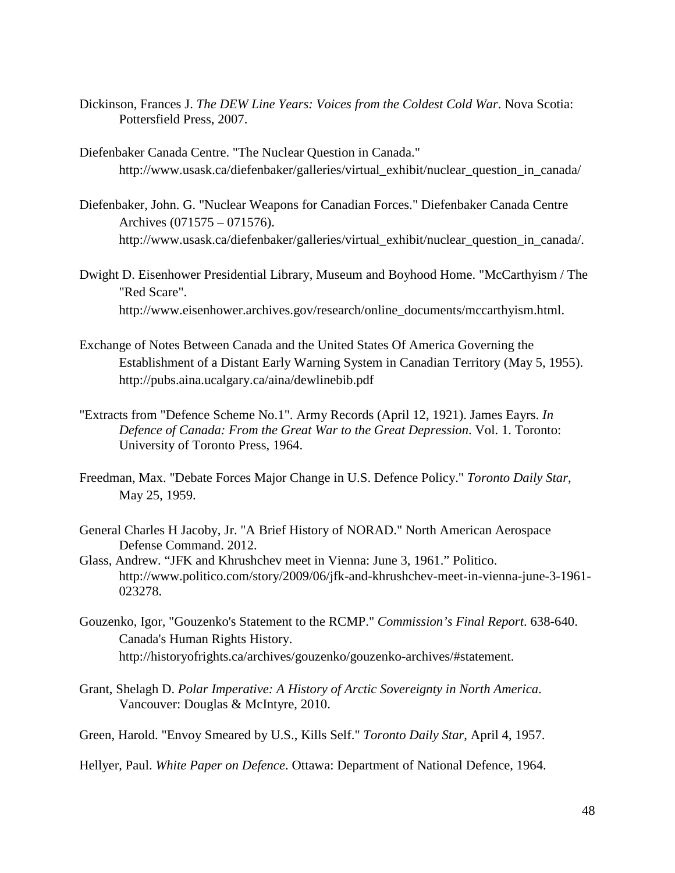- Dickinson, Frances J. *The DEW Line Years: Voices from the Coldest Cold War*. Nova Scotia: Pottersfield Press, 2007.
- Diefenbaker Canada Centre. "The Nuclear Question in Canada." http://www.usask.ca/diefenbaker/galleries/virtual exhibit/nuclear question in canada/
- Diefenbaker, John. G. "Nuclear Weapons for Canadian Forces." Diefenbaker Canada Centre Archives (071575 – 071576). http://www.usask.ca/diefenbaker/galleries/virtual\_exhibit/nuclear\_question\_in\_canada/.
- Dwight D. Eisenhower Presidential Library, Museum and Boyhood Home. "McCarthyism / The "Red Scare". http://www.eisenhower.archives.gov/research/online\_documents/mccarthyism.html.
- Exchange of Notes Between Canada and the United States Of America Governing the Establishment of a Distant Early Warning System in Canadian Territory (May 5, 1955). http://pubs.aina.ucalgary.ca/aina/dewlinebib.pdf
- "Extracts from "Defence Scheme No.1". Army Records (April 12, 1921). James Eayrs. *In Defence of Canada: From the Great War to the Great Depression*. Vol. 1. Toronto: University of Toronto Press, 1964.
- Freedman, Max. "Debate Forces Major Change in U.S. Defence Policy." *Toronto Daily Star*, May 25, 1959.
- General Charles H Jacoby, Jr. "A Brief History of NORAD." North American Aerospace Defense Command. 2012.
- Glass, Andrew. "JFK and Khrushchev meet in Vienna: June 3, 1961." Politico. <http://www.politico.com/story/2009/06/jfk-and-khrushchev-meet-in-vienna-june-3-1961-> 023278.
- Gouzenko, Igor, "Gouzenko's Statement to the RCMP." *Commission's Final Report*. 638-640. Canada's Human Rights History. http://historyofrights.ca/archives/gouzenko/gouzenko-archives/#statement.
- Grant, Shelagh D. *Polar Imperative: A History of Arctic Sovereignty in North America*. Vancouver: Douglas & McIntyre, 2010.
- Green, Harold. "Envoy Smeared by U.S., Kills Self." *Toronto Daily Star*, April 4, 1957.

Hellyer, Paul. *White Paper on Defence*. Ottawa: Department of National Defence, 1964.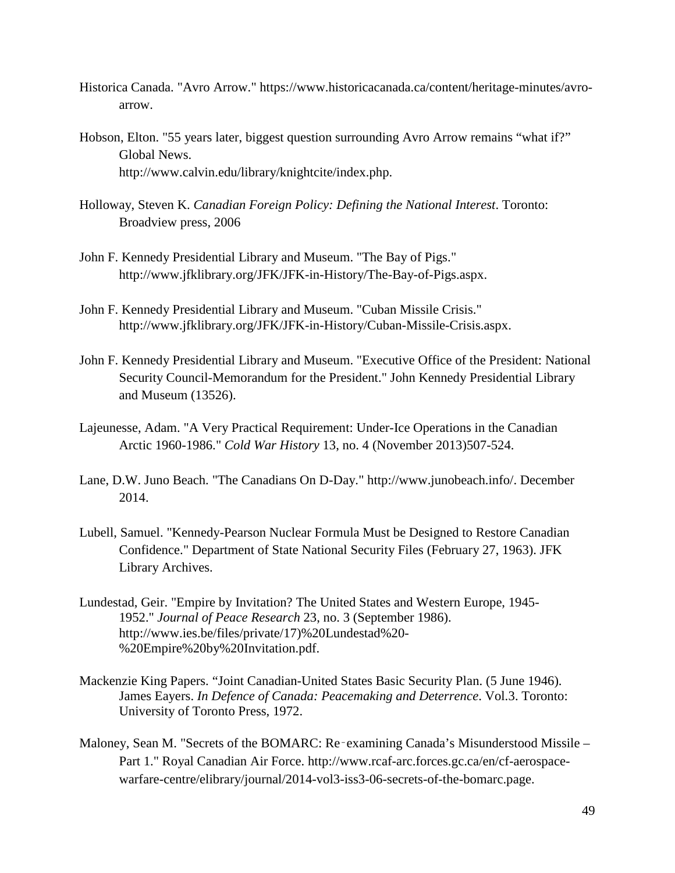- Historica Canada. "Avro Arrow." https://www.historicacanada.ca/content/heritage-minutes/avroarrow.
- Hobson, Elton. "55 years later, biggest question surrounding Avro Arrow remains "what if?" Global News. http://www.calvin.edu/library/knightcite/index.php.
- Holloway, Steven K. *Canadian Foreign Policy: Defining the National Interest*. Toronto: Broadview press, 2006
- John F. Kennedy Presidential Library and Museum. "The Bay of Pigs." http://www.jfklibrary.org/JFK/JFK-in-History/The-Bay-of-Pigs.aspx.
- John F. Kennedy Presidential Library and Museum. "Cuban Missile Crisis." http://www.jfklibrary.org/JFK/JFK-in-History/Cuban-Missile-Crisis.aspx.
- John F. Kennedy Presidential Library and Museum. "Executive Office of the President: National Security Council-Memorandum for the President." John Kennedy Presidential Library and Museum (13526).
- Lajeunesse, Adam. "A Very Practical Requirement: Under-Ice Operations in the Canadian Arctic 1960-1986." *Cold War History* 13, no. 4 (November 2013)507-524.
- Lane, D.W. Juno Beach. "The Canadians On D-Day." http://www.junobeach.info/. December 2014.
- Lubell, Samuel. "Kennedy-Pearson Nuclear Formula Must be Designed to Restore Canadian Confidence." Department of State National Security Files (February 27, 1963). JFK Library Archives.
- Lundestad, Geir. "Empire by Invitation? The United States and Western Europe, 1945- 1952." *Journal of Peace Research* 23, no. 3 (September 1986). http://www.ies.be/files/private/17)%20Lundestad%20- %20Empire%20by%20Invitation.pdf.
- Mackenzie King Papers. "Joint Canadian-United States Basic Security Plan. (5 June 1946). James Eayers. *In Defence of Canada: Peacemaking and Deterrence*. Vol.3. Toronto: University of Toronto Press, 1972.
- Maloney, Sean M. "Secrets of the BOMARC: Re-examining Canada's Misunderstood Missile Part 1." Royal Canadian Air Force. http://www.rcaf-arc.forces.gc.ca/en/cf-aerospacewarfare-centre/elibrary/journal/2014-vol3-iss3-06-secrets-of-the-bomarc.page.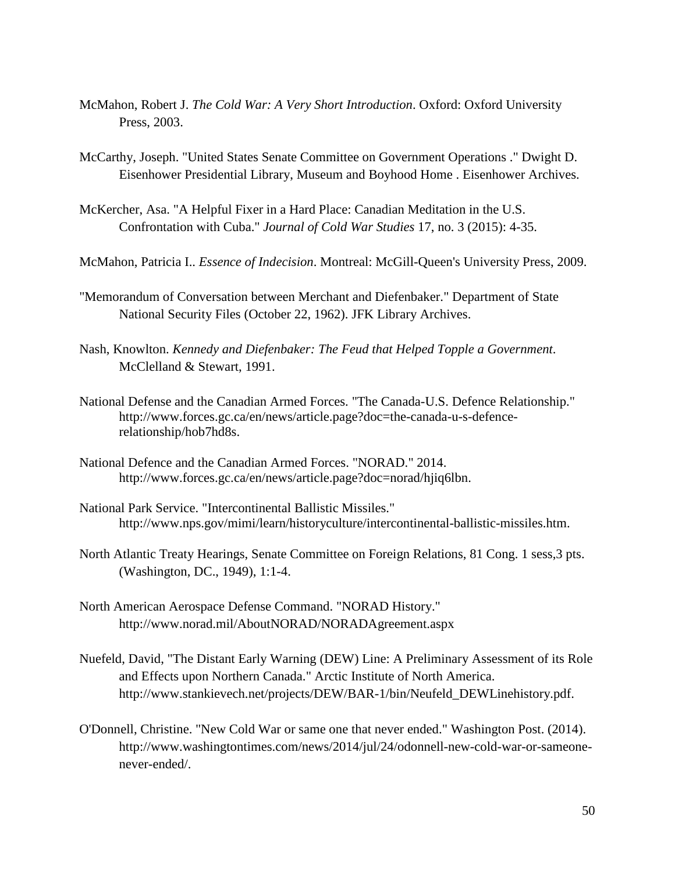- McMahon, Robert J. *The Cold War: A Very Short Introduction*. Oxford: Oxford University Press, 2003.
- McCarthy, Joseph. "United States Senate Committee on Government Operations ." Dwight D. Eisenhower Presidential Library, Museum and Boyhood Home . Eisenhower Archives.
- McKercher, Asa. "A Helpful Fixer in a Hard Place: Canadian Meditation in the U.S. Confrontation with Cuba." *Journal of Cold War Studies* 17, no. 3 (2015): 4-35.
- McMahon, Patricia I.. *Essence of Indecision*. Montreal: McGill-Queen's University Press, 2009.
- "Memorandum of Conversation between Merchant and Diefenbaker." Department of State National Security Files (October 22, 1962). JFK Library Archives.
- Nash, Knowlton. *Kennedy and Diefenbaker: The Feud that Helped Topple a Government*. McClelland & Stewart, 1991.
- National Defense and the Canadian Armed Forces. "The Canada-U.S. Defence Relationship." http://www.forces.gc.ca/en/news/article.page?doc=the-canada-u-s-defencerelationship/hob7hd8s.
- National Defence and the Canadian Armed Forces. "NORAD." 2014. http://www.forces.gc.ca/en/news/article.page?doc=norad/hjiq6lbn.
- National Park Service. "Intercontinental Ballistic Missiles." http://www.nps.gov/mimi/learn/historyculture/intercontinental-ballistic-missiles.htm.
- North Atlantic Treaty Hearings, Senate Committee on Foreign Relations, 81 Cong. 1 sess,3 pts. (Washington, DC., 1949), 1:1-4.
- North American Aerospace Defense Command. "NORAD History." http://www.norad.mil/AboutNORAD/NORADAgreement.aspx
- Nuefeld, David, "The Distant Early Warning (DEW) Line: A Preliminary Assessment of its Role and Effects upon Northern Canada." Arctic Institute of North America. http://www.stankievech.net/projects/DEW/BAR-1/bin/Neufeld\_DEWLinehistory.pdf.
- O'Donnell, Christine. "New Cold War or same one that never ended." Washington Post. (2014). http://www.washingtontimes.com/news/2014/jul/24/odonnell-new-cold-war-or-sameonenever-ended/.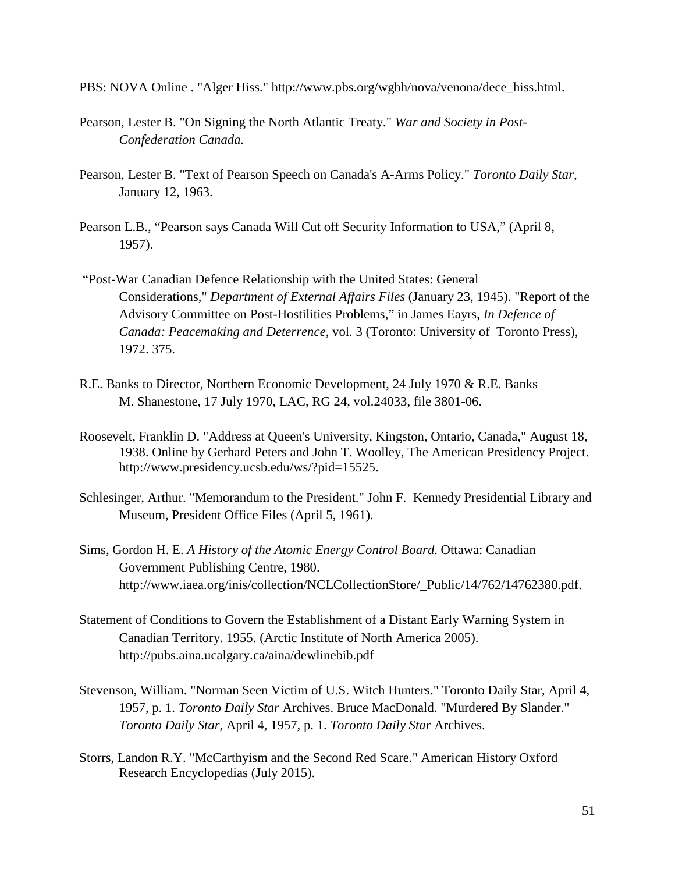PBS: NOVA Online . "Alger Hiss." http://www.pbs.org/wgbh/nova/venona/dece\_hiss.html.

- Pearson, Lester B. "On Signing the North Atlantic Treaty." *War and Society in Post-Confederation Canada.*
- Pearson, Lester B. "Text of Pearson Speech on Canada's A-Arms Policy." *Toronto Daily Star*, January 12, 1963.
- Pearson L.B., "Pearson says Canada Will Cut off Security Information to USA," (April 8, 1957).
- "Post-War Canadian Defence Relationship with the United States: General Considerations," *Department of External Affairs Files* (January 23, 1945). "Report of the Advisory Committee on Post-Hostilities Problems," in James Eayrs, *In Defence of Canada: Peacemaking and Deterrence*, vol. 3 (Toronto: University of Toronto Press), 1972. 375.
- R.E. Banks to Director, Northern Economic Development, 24 July 1970 & R.E. Banks M. Shanestone, 17 July 1970, LAC, RG 24, vol.24033, file 3801-06.
- Roosevelt, Franklin D. "Address at Queen's University, Kingston, Ontario, Canada," August 18, 1938. Online by Gerhard Peters and John T. Woolley, The American Presidency Project. http://www.presidency.ucsb.edu/ws/?pid=15525.
- Schlesinger, Arthur. "Memorandum to the President." John F. Kennedy Presidential Library and Museum, President Office Files (April 5, 1961).
- Sims, Gordon H. E. *A History of the Atomic Energy Control Board*. Ottawa: Canadian Government Publishing Centre, 1980. http://www.iaea.org/inis/collection/NCLCollectionStore/\_Public/14/762/14762380.pdf.
- Statement of Conditions to Govern the Establishment of a Distant Early Warning System in Canadian Territory. 1955. (Arctic Institute of North America 2005). http://pubs.aina.ucalgary.ca/aina/dewlinebib.pdf
- Stevenson, William. "Norman Seen Victim of U.S. Witch Hunters." Toronto Daily Star, April 4, 1957, p. 1. *Toronto Daily Star* Archives. Bruce MacDonald. "Murdered By Slander." *Toronto Daily Star*, April 4, 1957, p. 1. *Toronto Daily Star* Archives.
- Storrs, Landon R.Y. "McCarthyism and the Second Red Scare." American History Oxford Research Encyclopedias (July 2015).